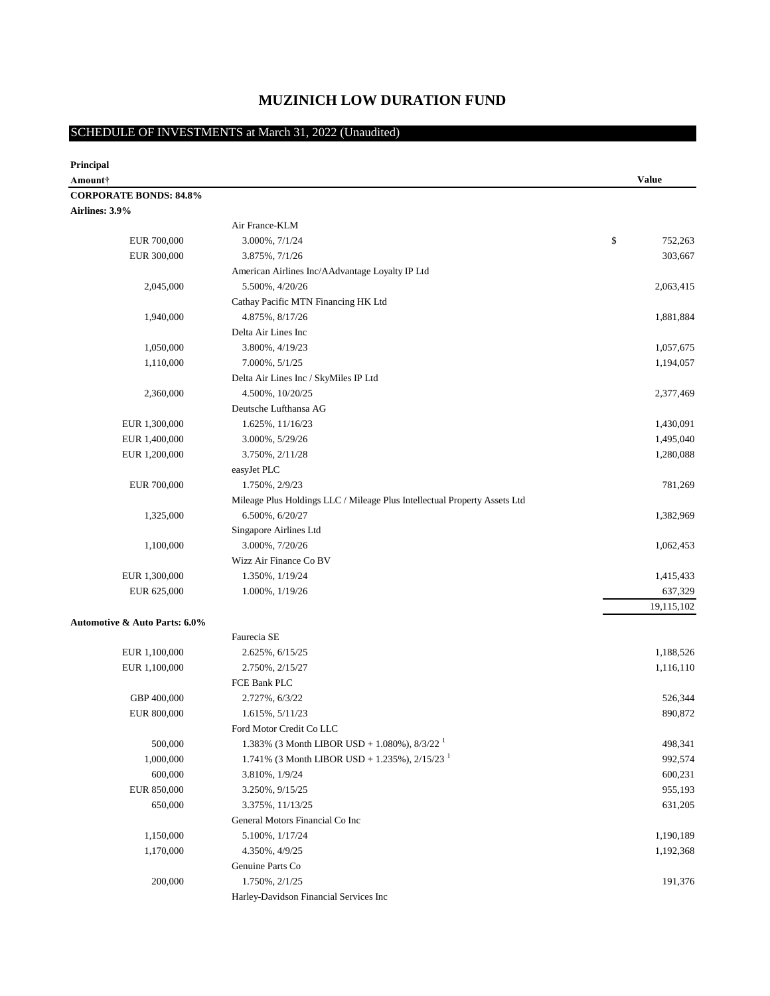# **MUZINICH LOW DURATION FUND**

# SCHEDULE OF INVESTMENTS at March 31, 2022 (Unaudited)

| Principal                                |                                                                                                                  |               |
|------------------------------------------|------------------------------------------------------------------------------------------------------------------|---------------|
| Amount†                                  |                                                                                                                  | <b>Value</b>  |
| <b>CORPORATE BONDS: 84.8%</b>            |                                                                                                                  |               |
| Airlines: 3.9%                           |                                                                                                                  |               |
|                                          | Air France-KLM                                                                                                   |               |
| EUR 700,000                              | 3.000%, 7/1/24                                                                                                   | \$<br>752,263 |
| EUR 300,000                              | 3.875%, 7/1/26                                                                                                   | 303,667       |
|                                          | American Airlines Inc/AAdvantage Loyalty IP Ltd                                                                  |               |
| 2,045,000                                | 5.500%, 4/20/26                                                                                                  | 2,063,415     |
|                                          | Cathay Pacific MTN Financing HK Ltd                                                                              |               |
| 1,940,000                                | 4.875%, 8/17/26                                                                                                  | 1,881,884     |
|                                          | Delta Air Lines Inc                                                                                              |               |
| 1,050,000                                | 3.800%, 4/19/23                                                                                                  | 1,057,675     |
| 1,110,000                                | 7.000%, $5/1/25$                                                                                                 | 1,194,057     |
|                                          | Delta Air Lines Inc / SkyMiles IP Ltd                                                                            |               |
| 2,360,000                                | 4.500%, 10/20/25                                                                                                 | 2,377,469     |
|                                          | Deutsche Lufthansa AG                                                                                            |               |
| EUR 1,300,000                            | 1.625%, 11/16/23                                                                                                 | 1,430,091     |
| EUR 1,400,000                            | 3.000%, 5/29/26                                                                                                  | 1,495,040     |
| EUR 1,200,000                            | 3.750%, 2/11/28                                                                                                  | 1,280,088     |
|                                          | easyJet PLC                                                                                                      |               |
| EUR 700,000                              | 1.750%, 2/9/23                                                                                                   | 781,269       |
|                                          | Mileage Plus Holdings LLC / Mileage Plus Intellectual Property Assets Ltd                                        |               |
| 1,325,000                                | 6.500%, 6/20/27                                                                                                  | 1,382,969     |
|                                          | Singapore Airlines Ltd                                                                                           |               |
| 1,100,000                                | 3.000%, 7/20/26                                                                                                  | 1,062,453     |
|                                          | Wizz Air Finance Co BV                                                                                           |               |
| EUR 1,300,000                            | 1.350%, 1/19/24                                                                                                  | 1,415,433     |
| EUR 625,000                              | 1.000%, $1/19/26$                                                                                                | 637,329       |
|                                          |                                                                                                                  | 19,115,102    |
| <b>Automotive &amp; Auto Parts: 6.0%</b> |                                                                                                                  |               |
|                                          | Faurecia SE                                                                                                      |               |
| EUR 1,100,000                            | 2.625%, 6/15/25                                                                                                  | 1,188,526     |
| EUR 1,100,000                            | 2.750%, 2/15/27                                                                                                  | 1,116,110     |
|                                          | FCE Bank PLC                                                                                                     |               |
| GBP 400,000                              | 2.727%, 6/3/22                                                                                                   | 526,344       |
| EUR 800,000                              | 1.615%, 5/11/23                                                                                                  | 890,872       |
|                                          | Ford Motor Credit Co LLC                                                                                         |               |
| 500,000                                  | 1.383% (3 Month LIBOR USD + 1.080%), $8/3/22^{1}$<br>1.741% (3 Month LIBOR USD + 1.235%), $2/15/23$ <sup>1</sup> | 498,341       |
| 1,000,000                                |                                                                                                                  | 992,574       |
| 600,000                                  | 3.810%, 1/9/24                                                                                                   | 600,231       |
| EUR 850,000                              | 3.250%, 9/15/25                                                                                                  | 955,193       |
| 650,000                                  | 3.375%, 11/13/25                                                                                                 | 631,205       |
|                                          | General Motors Financial Co Inc                                                                                  |               |
| 1,150,000                                | 5.100%, 1/17/24                                                                                                  | 1,190,189     |
| 1,170,000                                | 4.350%, 4/9/25<br>Genuine Parts Co                                                                               | 1,192,368     |
| 200,000                                  | 1.750%, 2/1/25                                                                                                   | 191,376       |
|                                          | Harley-Davidson Financial Services Inc                                                                           |               |
|                                          |                                                                                                                  |               |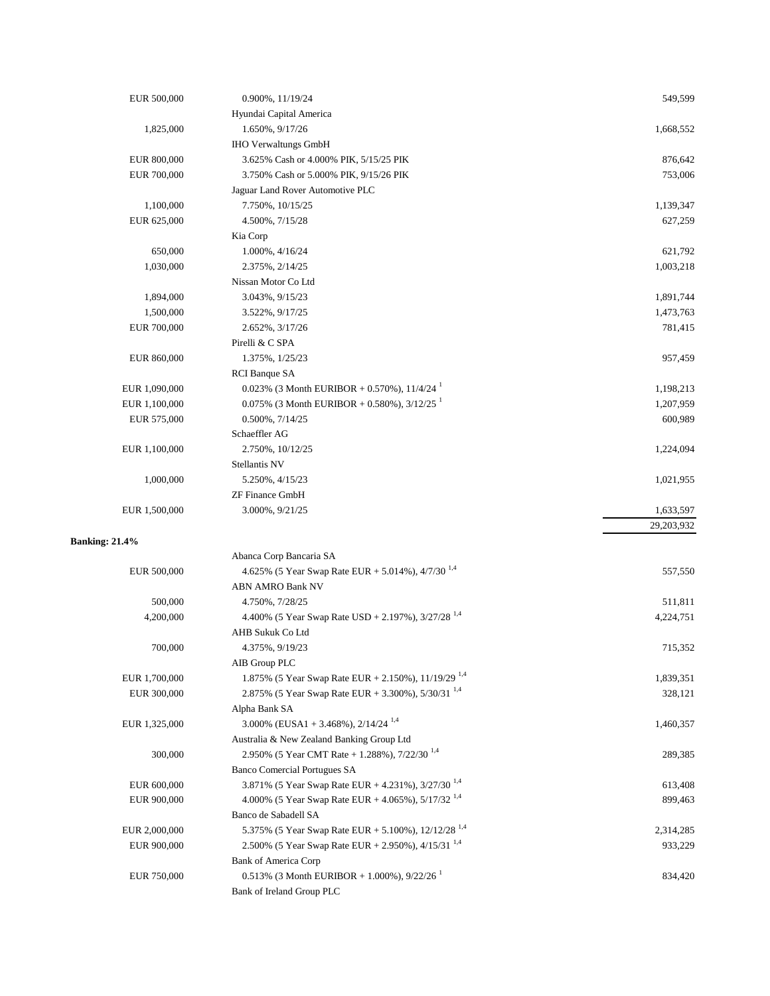| EUR 500,000           | 0.900%, 11/19/24                                                                       | 549,599    |
|-----------------------|----------------------------------------------------------------------------------------|------------|
|                       | Hyundai Capital America                                                                |            |
| 1,825,000             | 1.650%, 9/17/26                                                                        | 1,668,552  |
|                       | <b>IHO Verwaltungs GmbH</b>                                                            |            |
| EUR 800,000           | 3.625% Cash or 4.000% PIK, 5/15/25 PIK                                                 | 876,642    |
| EUR 700,000           | 3.750% Cash or 5.000% PIK, 9/15/26 PIK                                                 | 753,006    |
|                       | Jaguar Land Rover Automotive PLC                                                       |            |
| 1,100,000             | 7.750%, 10/15/25                                                                       | 1,139,347  |
| EUR 625,000           | 4.500%, 7/15/28                                                                        | 627,259    |
|                       | Kia Corp                                                                               |            |
|                       |                                                                                        |            |
| 650,000               | 1.000%, 4/16/24                                                                        | 621,792    |
| 1,030,000             | 2.375%, 2/14/25                                                                        | 1,003,218  |
|                       | Nissan Motor Co Ltd                                                                    |            |
| 1,894,000             | 3.043%, 9/15/23                                                                        | 1,891,744  |
| 1,500,000             | 3.522%, 9/17/25                                                                        | 1,473,763  |
| EUR 700,000           | 2.652%, 3/17/26                                                                        | 781,415    |
|                       | Pirelli & C SPA                                                                        |            |
| EUR 860,000           | 1.375%, 1/25/23                                                                        | 957,459    |
|                       | RCI Banque SA                                                                          |            |
| EUR 1,090,000         | 0.023% (3 Month EURIBOR + 0.570%), $11/4/24$                                           | 1,198,213  |
| EUR 1,100,000         | 0.075% (3 Month EURIBOR + 0.580%), $3/12/25$ <sup>1</sup>                              | 1,207,959  |
| EUR 575,000           | $0.500\%$ , $7/14/25$                                                                  | 600,989    |
|                       | Schaeffler AG                                                                          |            |
| EUR 1,100,000         | 2.750%, 10/12/25                                                                       | 1,224,094  |
|                       | Stellantis NV                                                                          |            |
| 1,000,000             | 5.250%, 4/15/23                                                                        | 1,021,955  |
|                       |                                                                                        |            |
|                       |                                                                                        |            |
|                       | <b>ZF Finance GmbH</b>                                                                 |            |
| EUR 1,500,000         | 3.000%, 9/21/25                                                                        | 1,633,597  |
|                       |                                                                                        | 29,203,932 |
| <b>Banking: 21.4%</b> |                                                                                        |            |
|                       | Abanca Corp Bancaria SA                                                                |            |
| EUR 500,000           | 4.625% (5 Year Swap Rate EUR + 5.014%), 4/7/30 <sup>1,4</sup>                          | 557,550    |
|                       | <b>ABN AMRO Bank NV</b>                                                                |            |
| 500,000               | 4.750%, 7/28/25                                                                        | 511,811    |
| 4,200,000             | 4.400% (5 Year Swap Rate USD + 2.197%), $3/27/28$ <sup>1,4</sup>                       | 4,224,751  |
|                       | AHB Sukuk Co Ltd                                                                       |            |
| 700,000               | 4.375%, 9/19/23                                                                        | 715,352    |
|                       | AIB Group PLC                                                                          |            |
| EUR 1,700,000         | 1.875% (5 Year Swap Rate EUR + 2.150%), 11/19/29 <sup>1,4</sup>                        | 1,839,351  |
| EUR 300,000           | 2.875% (5 Year Swap Rate EUR + 3.300%), $5/30/31^{1,4}$                                | 328,121    |
|                       | Alpha Bank SA                                                                          |            |
| EUR 1,325,000         |                                                                                        | 1,460,357  |
|                       | 3.000% (EUSA1 + 3.468%), $2/14/24$ <sup>1,4</sup>                                      |            |
|                       | Australia & New Zealand Banking Group Ltd                                              |            |
| 300,000               | 2.950% (5 Year CMT Rate + 1.288%), 7/22/30 <sup>1,4</sup>                              | 289,385    |
|                       | <b>Banco Comercial Portugues SA</b>                                                    |            |
| EUR 600,000           | 3.871% (5 Year Swap Rate EUR + 4.231%), 3/27/30 <sup>1,4</sup>                         | 613,408    |
| EUR 900,000           | 4.000% (5 Year Swap Rate EUR + 4.065%), $5/17/32^{1,4}$                                | 899,463    |
|                       | Banco de Sabadell SA                                                                   |            |
| EUR 2,000,000         | 5.375% (5 Year Swap Rate EUR + 5.100%), 12/12/28 <sup>1,4</sup>                        | 2,314,285  |
| EUR 900,000           | 2.500% (5 Year Swap Rate EUR + 2.950%), 4/15/31 <sup>1,4</sup>                         | 933,229    |
|                       | <b>Bank of America Corp</b>                                                            |            |
| EUR 750,000           | 0.513% (3 Month EURIBOR + 1.000%), $9/22/26$ <sup>1</sup><br>Bank of Ireland Group PLC | 834,420    |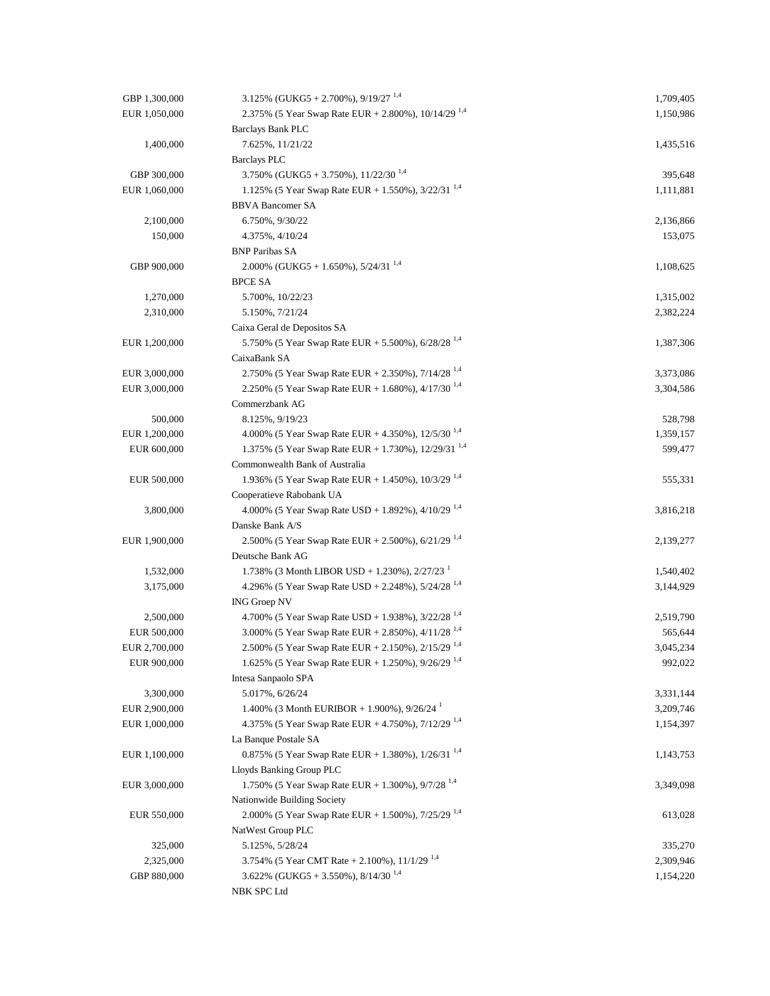| GBP 1,300,000 | 3.125% (GUKG5 + 2.700%), $9/19/27$ <sup>1,4</sup>                | 1,709,405 |
|---------------|------------------------------------------------------------------|-----------|
| EUR 1,050,000 | 2.375% (5 Year Swap Rate EUR + 2.800%), 10/14/29 <sup>1,4</sup>  | 1,150,986 |
|               | <b>Barclays Bank PLC</b>                                         |           |
| 1,400,000     | 7.625%, 11/21/22                                                 | 1,435,516 |
|               | <b>Barclays PLC</b>                                              |           |
| GBP 300,000   | 3.750% (GUKG5 + 3.750%), $11/22/30^{1,4}$                        | 395,648   |
| EUR 1,060,000 | 1.125% (5 Year Swap Rate EUR + 1.550%), $3/22/31^{1,4}$          | 1,111,881 |
|               | <b>BBVA Bancomer SA</b>                                          |           |
| 2,100,000     | 6.750%, 9/30/22                                                  | 2,136,866 |
| 150,000       | 4.375%, 4/10/24                                                  | 153,075   |
|               | <b>BNP Paribas SA</b>                                            |           |
| GBP 900,000   | 2.000% (GUKG5 + 1.650%), $5/24/31^{1,4}$                         | 1,108,625 |
|               | <b>BPCE SA</b>                                                   |           |
|               |                                                                  |           |
| 1,270,000     | 5.700%, 10/22/23                                                 | 1,315,002 |
| 2,310,000     | 5.150%, 7/21/24                                                  | 2,382,224 |
|               | Caixa Geral de Depositos SA                                      |           |
| EUR 1,200,000 | 5.750% (5 Year Swap Rate EUR + 5.500%), $6/28/28^{1,4}$          | 1,387,306 |
|               | CaixaBank SA                                                     |           |
| EUR 3,000,000 | 2.750% (5 Year Swap Rate EUR + 2.350%), 7/14/28 <sup>1,4</sup>   | 3,373,086 |
| EUR 3,000,000 | 2.250% (5 Year Swap Rate EUR + 1.680%), 4/17/30 <sup>1,4</sup>   | 3,304,586 |
|               | Commerzbank AG                                                   |           |
| 500,000       | 8.125%, 9/19/23                                                  | 528,798   |
| EUR 1,200,000 | 4.000% (5 Year Swap Rate EUR + 4.350%), $12/5/30^{1.4}$          | 1,359,157 |
| EUR 600,000   | 1.375% (5 Year Swap Rate EUR + 1.730%), 12/29/31 <sup>1,4</sup>  | 599,477   |
|               | Commonwealth Bank of Australia                                   |           |
| EUR 500,000   | 1.936% (5 Year Swap Rate EUR + 1.450%), $10/3/29$ <sup>1,4</sup> | 555,331   |
|               | Cooperatieve Rabobank UA                                         |           |
| 3,800,000     | 4.000% (5 Year Swap Rate USD + 1.892%), 4/10/29 <sup>1,4</sup>   | 3,816,218 |
|               | Danske Bank A/S                                                  |           |
| EUR 1,900,000 | 2.500% (5 Year Swap Rate EUR + 2.500%), $6/21/29^{1,4}$          | 2,139,277 |
|               | Deutsche Bank AG                                                 |           |
| 1,532,000     | 1.738% (3 Month LIBOR USD + 1.230%), $2/27/23$                   | 1,540,402 |
| 3,175,000     | 4.296% (5 Year Swap Rate USD + 2.248%), $5/24/28^{1,4}$          | 3,144,929 |
|               | <b>ING Groep NV</b>                                              |           |
| 2,500,000     | 4.700% (5 Year Swap Rate USD + 1.938%), $3/22/28$ <sup>1,4</sup> | 2,519,790 |
| EUR 500,000   | 3.000% (5 Year Swap Rate EUR + 2.850%), 4/11/28 <sup>1,4</sup>   | 565,644   |
| EUR 2,700,000 | 2.500% (5 Year Swap Rate EUR + 2.150%), 2/15/29 <sup>1,4</sup>   | 3,045,234 |
| EUR 900,000   | 1.625% (5 Year Swap Rate EUR + 1.250%), 9/26/29 <sup>1,4</sup>   | 992,022   |
|               | Intesa Sanpaolo SPA                                              |           |
| 3,300,000     | 5.017%, 6/26/24                                                  | 3,331,144 |
| EUR 2,900,000 | 1.400% (3 Month EURIBOR + 1.900%), $9/26/24$                     | 3,209,746 |
| EUR 1,000,000 | 4.375% (5 Year Swap Rate EUR + 4.750%), $7/12/29$ <sup>1,4</sup> | 1,154,397 |
|               | La Banque Postale SA                                             |           |
| EUR 1,100,000 | 0.875% (5 Year Swap Rate EUR + 1.380%), $1/26/31^{1.4}$          | 1,143,753 |
|               | Lloyds Banking Group PLC                                         |           |
| EUR 3,000,000 | 1.750% (5 Year Swap Rate EUR + 1.300%), $9/7/28^{1,4}$           | 3,349,098 |
|               | Nationwide Building Society                                      |           |
| EUR 550,000   | 2.000% (5 Year Swap Rate EUR + 1.500%), 7/25/29 <sup>1,4</sup>   | 613,028   |
|               | NatWest Group PLC                                                |           |
| 325,000       | 5.125%, 5/28/24                                                  | 335,270   |
| 2,325,000     | 3.754% (5 Year CMT Rate + 2.100%), $11/1/29$ <sup>1,4</sup>      | 2,309,946 |
| GBP 880,000   | 3.622% (GUKG5 + 3.550%), $8/14/30^{1,4}$                         | 1,154,220 |
|               | NBK SPC Ltd                                                      |           |
|               |                                                                  |           |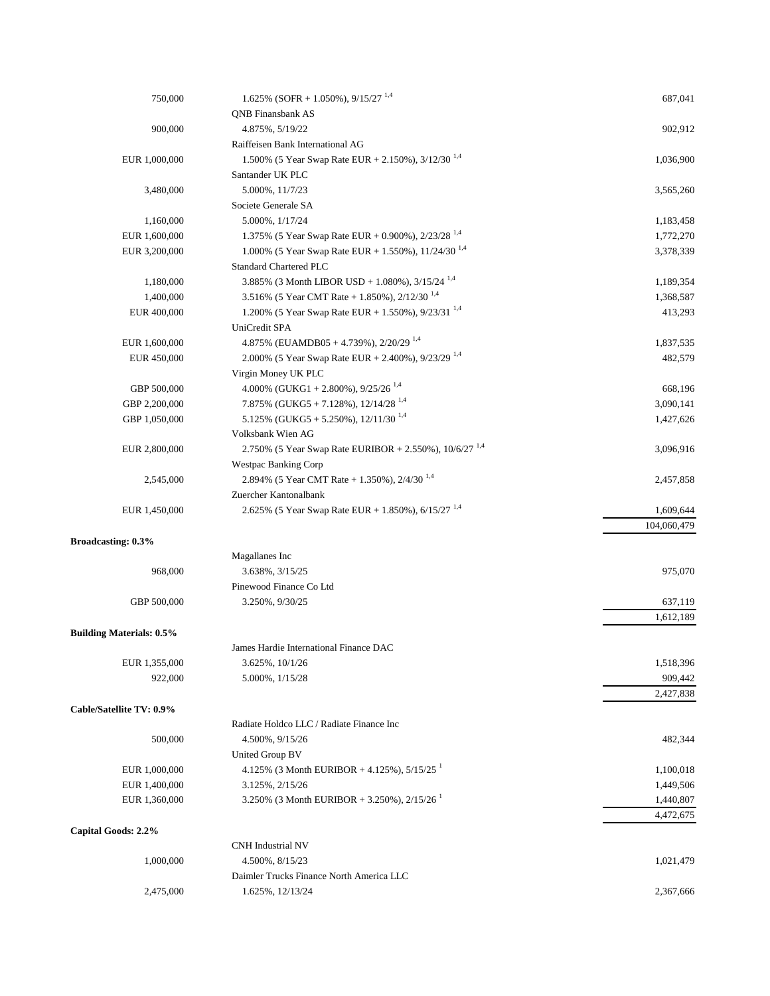| 750,000                         | 1.625% (SOFR + 1.050%), $9/15/27^{1,4}$                            | 687,041     |
|---------------------------------|--------------------------------------------------------------------|-------------|
|                                 | <b>QNB</b> Finansbank AS                                           |             |
| 900,000                         | 4.875%, 5/19/22                                                    | 902,912     |
|                                 | Raiffeisen Bank International AG                                   |             |
| EUR 1,000,000                   | 1.500% (5 Year Swap Rate EUR + 2.150%), $3/12/30^{1,4}$            | 1,036,900   |
|                                 | Santander UK PLC                                                   |             |
| 3,480,000                       | 5.000%, 11/7/23                                                    | 3,565,260   |
|                                 | Societe Generale SA                                                |             |
| 1,160,000                       | 5.000%, 1/17/24                                                    | 1,183,458   |
| EUR 1,600,000                   | 1.375% (5 Year Swap Rate EUR + 0.900%), $2/23/28^{1,4}$            | 1,772,270   |
| EUR 3,200,000                   | 1.000% (5 Year Swap Rate EUR + 1.550%), 11/24/30 <sup>1,4</sup>    | 3,378,339   |
|                                 |                                                                    |             |
|                                 | Standard Chartered PLC                                             |             |
| 1,180,000                       | 3.885% (3 Month LIBOR USD + 1.080%), $3/15/24$ <sup>1,4</sup>      | 1,189,354   |
| 1,400,000                       | 3.516% (5 Year CMT Rate + 1.850%), $2/12/30^{1.4}$                 | 1,368,587   |
| EUR 400,000                     | 1.200% (5 Year Swap Rate EUR + 1.550%), $9/23/31^{1,4}$            | 413,293     |
|                                 | UniCredit SPA                                                      |             |
| EUR 1,600,000                   | 4.875% (EUAMDB05 + 4.739%), $2/20/29^{1,4}$                        | 1,837,535   |
| EUR 450,000                     | 2.000% (5 Year Swap Rate EUR + 2.400%), 9/23/29 <sup>1,4</sup>     | 482,579     |
|                                 | Virgin Money UK PLC                                                |             |
| GBP 500,000                     | 4.000% (GUKG1 + 2.800%), $9/25/26^{1,4}$                           | 668,196     |
| GBP 2,200,000                   | 7.875% (GUKG5 + 7.128%), $12/14/28^{1,4}$                          | 3,090,141   |
| GBP 1,050,000                   | 5.125% (GUKG5 + 5.250%), $12/11/30$ <sup>1,4</sup>                 | 1,427,626   |
|                                 | Volksbank Wien AG                                                  |             |
| EUR 2,800,000                   | 2.750% (5 Year Swap Rate EURIBOR + 2.550%), 10/6/27 <sup>1,4</sup> | 3,096,916   |
|                                 | <b>Westpac Banking Corp</b>                                        |             |
| 2,545,000                       | 2.894% (5 Year CMT Rate + 1.350%), $2/4/30^{1.4}$                  | 2,457,858   |
|                                 | Zuercher Kantonalbank                                              |             |
| EUR 1,450,000                   | 2.625% (5 Year Swap Rate EUR + 1.850%), 6/15/27 <sup>1,4</sup>     | 1,609,644   |
|                                 |                                                                    | 104,060,479 |
| <b>Broadcasting: 0.3%</b>       |                                                                    |             |
|                                 | Magallanes Inc                                                     |             |
| 968,000                         | 3.638%, 3/15/25                                                    | 975,070     |
|                                 | Pinewood Finance Co Ltd                                            |             |
| GBP 500,000                     | 3.250%, 9/30/25                                                    | 637,119     |
|                                 |                                                                    |             |
|                                 |                                                                    | 1,612,189   |
| <b>Building Materials: 0.5%</b> |                                                                    |             |
|                                 | James Hardie International Finance DAC                             |             |
| EUR 1,355,000                   | 3.625%, 10/1/26                                                    | 1,518,396   |
| 922,000                         | 5.000%, $1/15/28$                                                  | 909,442     |
|                                 |                                                                    | 2,427,838   |
| Cable/Satellite TV: 0.9%        |                                                                    |             |
|                                 | Radiate Holdco LLC / Radiate Finance Inc                           |             |
| 500,000                         | 4.500%, 9/15/26                                                    | 482,344     |
|                                 | United Group BV                                                    |             |
| EUR 1,000,000                   | 4.125% (3 Month EURIBOR + 4.125%), $5/15/25$ <sup>1</sup>          | 1,100,018   |
| EUR 1,400,000                   | 3.125%, 2/15/26                                                    | 1,449,506   |
| EUR 1,360,000                   | 3.250% (3 Month EURIBOR + 3.250%), $2/15/26$ <sup>1</sup>          | 1,440,807   |
|                                 |                                                                    | 4,472,675   |
| Capital Goods: 2.2%             |                                                                    |             |
|                                 | <b>CNH</b> Industrial NV                                           |             |
| 1,000,000                       | 4.500%, 8/15/23                                                    | 1,021,479   |
|                                 | Daimler Trucks Finance North America LLC                           |             |
| 2,475,000                       | 1.625%, 12/13/24                                                   | 2,367,666   |
|                                 |                                                                    |             |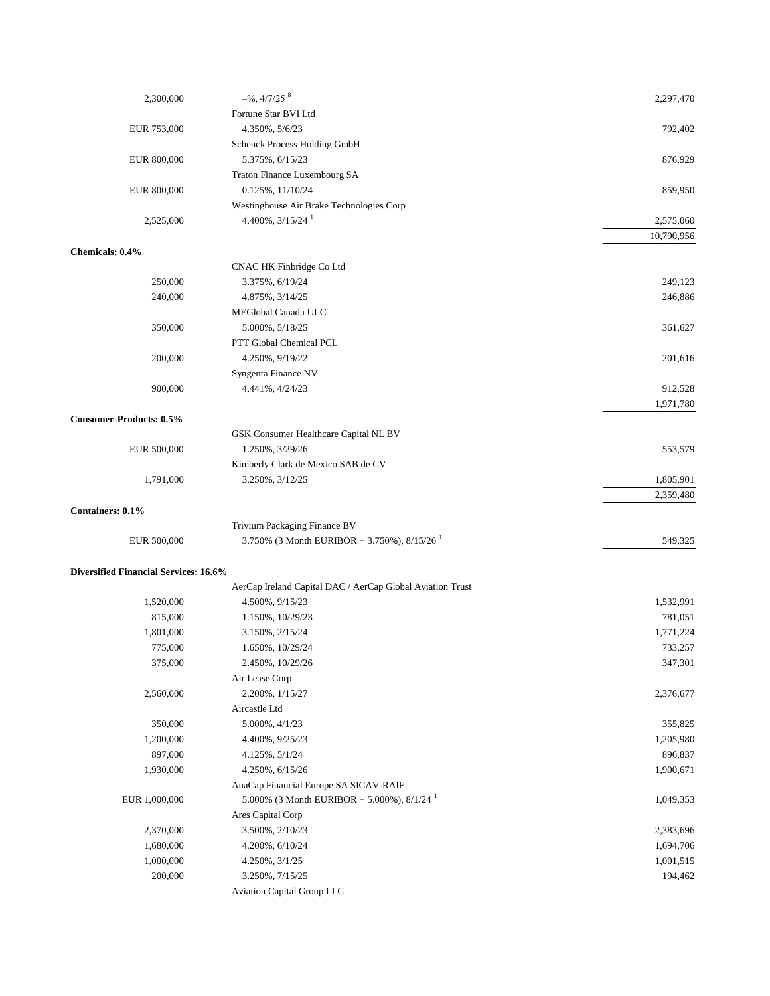| 2,300,000                             | $-$ %, 4/7/25 $8$                                         | 2,297,470  |
|---------------------------------------|-----------------------------------------------------------|------------|
|                                       | Fortune Star BVI Ltd                                      |            |
| EUR 753,000                           | 4.350%, 5/6/23                                            | 792,402    |
|                                       | Schenck Process Holding GmbH                              |            |
| EUR 800,000                           | 5.375%, 6/15/23                                           | 876,929    |
|                                       | Traton Finance Luxembourg SA                              |            |
| EUR 800,000                           | $0.125\%, 11/10/24$                                       | 859,950    |
|                                       | Westinghouse Air Brake Technologies Corp                  |            |
| 2,525,000                             | 4.400%, $3/15/24$ <sup>1</sup>                            | 2,575,060  |
|                                       |                                                           | 10,790,956 |
| Chemicals: 0.4%                       |                                                           |            |
|                                       | CNAC HK Finbridge Co Ltd                                  |            |
| 250,000                               | 3.375%, 6/19/24                                           | 249,123    |
| 240,000                               | 4.875%, 3/14/25                                           | 246,886    |
|                                       | MEGlobal Canada ULC                                       |            |
| 350,000                               | 5.000%, 5/18/25                                           | 361,627    |
|                                       | PTT Global Chemical PCL                                   |            |
| 200,000                               | 4.250%, 9/19/22                                           | 201,616    |
|                                       | Syngenta Finance NV                                       |            |
| 900,000                               | 4.441%, 4/24/23                                           | 912,528    |
|                                       |                                                           | 1,971,780  |
| Consumer-Products: 0.5%               |                                                           |            |
|                                       | GSK Consumer Healthcare Capital NL BV                     |            |
| EUR 500,000                           | 1.250%, 3/29/26                                           | 553,579    |
|                                       | Kimberly-Clark de Mexico SAB de CV                        |            |
| 1,791,000                             | 3.250%, 3/12/25                                           | 1,805,901  |
|                                       |                                                           | 2,359,480  |
| Containers: 0.1%                      |                                                           |            |
|                                       | Trivium Packaging Finance BV                              |            |
| EUR 500,000                           | 3.750% (3 Month EURIBOR + 3.750%), $8/15/26$ <sup>1</sup> | 549,325    |
|                                       |                                                           |            |
| Diversified Financial Services: 16.6% |                                                           |            |
|                                       | AerCap Ireland Capital DAC / AerCap Global Aviation Trust |            |
| 1,520,000                             | 4.500%, 9/15/23                                           | 1,532,991  |
| 815,000                               | 1.150%, 10/29/23                                          | 781,051    |
| 1,801,000                             | 3.150%, 2/15/24                                           | 1,771,224  |
| 775,000                               | 1.650%, 10/29/24                                          | 733,257    |
| 375,000                               | 2.450%, 10/29/26                                          | 347,301    |
|                                       | Air Lease Corp                                            |            |
| 2,560,000                             | 2.200%, 1/15/27                                           | 2,376,677  |
|                                       | Aircastle Ltd                                             |            |
| 350,000                               | $5.000\%$ , $4/1/23$                                      | 355,825    |
| 1,200,000                             | 4.400%, 9/25/23                                           | 1,205,980  |
| 897,000                               | 4.125%, 5/1/24                                            | 896,837    |
| 1,930,000                             | 4.250%, 6/15/26                                           | 1,900,671  |
|                                       | AnaCap Financial Europe SA SICAV-RAIF                     |            |
| EUR 1,000,000                         | 5.000% (3 Month EURIBOR + 5.000%), $8/1/24$ <sup>1</sup>  | 1,049,353  |
|                                       | Ares Capital Corp                                         |            |
| 2,370,000                             | 3.500%, 2/10/23                                           | 2,383,696  |
| 1,680,000                             | 4.200%, 6/10/24                                           | 1,694,706  |
| 1,000,000                             | 4.250%, 3/1/25                                            | 1,001,515  |
| 200,000                               | 3.250%, 7/15/25                                           | 194,462    |
|                                       | Aviation Capital Group LLC                                |            |
|                                       |                                                           |            |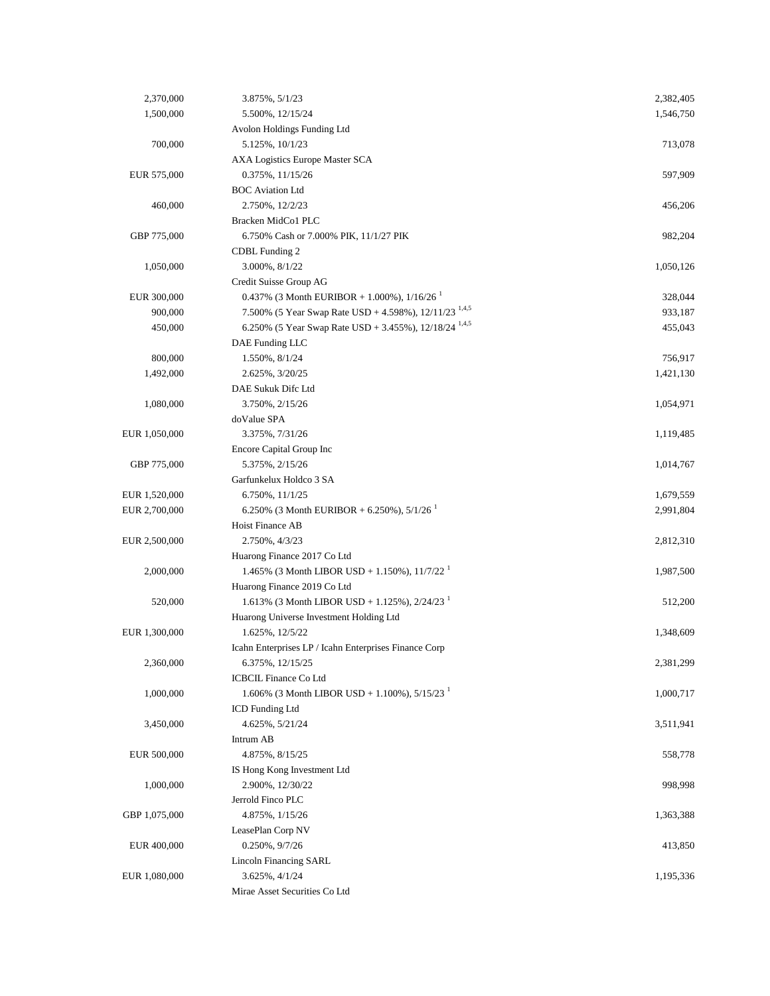| 2,370,000     | 3.875%, 5/1/23                                                      | 2,382,405 |
|---------------|---------------------------------------------------------------------|-----------|
| 1,500,000     | 5.500%, 12/15/24                                                    | 1,546,750 |
|               | Avolon Holdings Funding Ltd                                         |           |
| 700,000       | 5.125%, 10/1/23                                                     | 713,078   |
|               | AXA Logistics Europe Master SCA                                     |           |
| EUR 575,000   | 0.375%, 11/15/26                                                    | 597,909   |
|               | <b>BOC</b> Aviation Ltd                                             |           |
| 460,000       | 2.750%, 12/2/23                                                     | 456,206   |
|               | Bracken MidCo1 PLC                                                  |           |
| GBP 775,000   | 6.750% Cash or 7.000% PIK, 11/1/27 PIK                              | 982,204   |
|               | CDBL Funding 2                                                      |           |
| 1,050,000     | 3.000%, 8/1/22                                                      | 1,050,126 |
|               | Credit Suisse Group AG                                              |           |
| EUR 300,000   | 0.437% (3 Month EURIBOR + 1.000%), $1/16/26$                        | 328,044   |
| 900,000       | 7.500% (5 Year Swap Rate USD + 4.598%), $12/11/23$ <sup>1,4,5</sup> | 933,187   |
| 450,000       | 6.250% (5 Year Swap Rate USD + 3.455%), 12/18/24 <sup>1,4,5</sup>   | 455,043   |
|               | DAE Funding LLC                                                     |           |
| 800,000       | 1.550%, 8/1/24                                                      | 756,917   |
| 1,492,000     | 2.625%, 3/20/25                                                     | 1,421,130 |
|               | DAE Sukuk Difc Ltd                                                  |           |
| 1,080,000     | 3.750%, 2/15/26                                                     | 1,054,971 |
|               | doValue SPA                                                         |           |
| EUR 1,050,000 | 3.375%, 7/31/26                                                     | 1,119,485 |
|               | Encore Capital Group Inc                                            |           |
| GBP 775,000   | 5.375%, 2/15/26                                                     | 1,014,767 |
|               | Garfunkelux Holdco 3 SA                                             |           |
| EUR 1,520,000 | 6.750%, 11/1/25                                                     | 1,679,559 |
| EUR 2,700,000 | 6.250% (3 Month EURIBOR + 6.250%), $5/1/26$                         | 2,991,804 |
|               | Hoist Finance AB                                                    |           |
| EUR 2,500,000 | 2.750%, 4/3/23                                                      | 2,812,310 |
|               | Huarong Finance 2017 Co Ltd                                         |           |
| 2,000,000     | 1.465% (3 Month LIBOR USD + 1.150%), $11/7/22^{-1}$                 | 1,987,500 |
|               | Huarong Finance 2019 Co Ltd                                         |           |
| 520,000       | 1.613% (3 Month LIBOR USD + 1.125%), $2/24/23$ <sup>1</sup>         | 512,200   |
|               | Huarong Universe Investment Holding Ltd                             |           |
| EUR 1,300,000 | 1.625%, 12/5/22                                                     | 1,348,609 |
|               | Icahn Enterprises LP / Icahn Enterprises Finance Corp               |           |
| 2,360,000     | 6.375%, 12/15/25                                                    | 2,381,299 |
|               | <b>ICBCIL Finance Co Ltd</b>                                        |           |
| 1,000,000     | 1.606% (3 Month LIBOR USD + 1.100%), $5/15/23$ <sup>1</sup>         | 1,000,717 |
|               | ICD Funding Ltd                                                     |           |
| 3,450,000     | 4.625%, 5/21/24                                                     | 3,511,941 |
|               | Intrum AB                                                           |           |
| EUR 500,000   | 4.875%, 8/15/25                                                     | 558,778   |
|               | IS Hong Kong Investment Ltd                                         |           |
| 1,000,000     | 2.900%, 12/30/22                                                    | 998,998   |
|               | Jerrold Finco PLC                                                   |           |
| GBP 1,075,000 | 4.875%, 1/15/26                                                     | 1,363,388 |
|               | LeasePlan Corp NV                                                   |           |
| EUR 400,000   | 0.250%, 9/7/26                                                      | 413,850   |
|               | <b>Lincoln Financing SARL</b>                                       |           |
| EUR 1,080,000 | 3.625%, 4/1/24                                                      | 1,195,336 |
|               | Mirae Asset Securities Co Ltd                                       |           |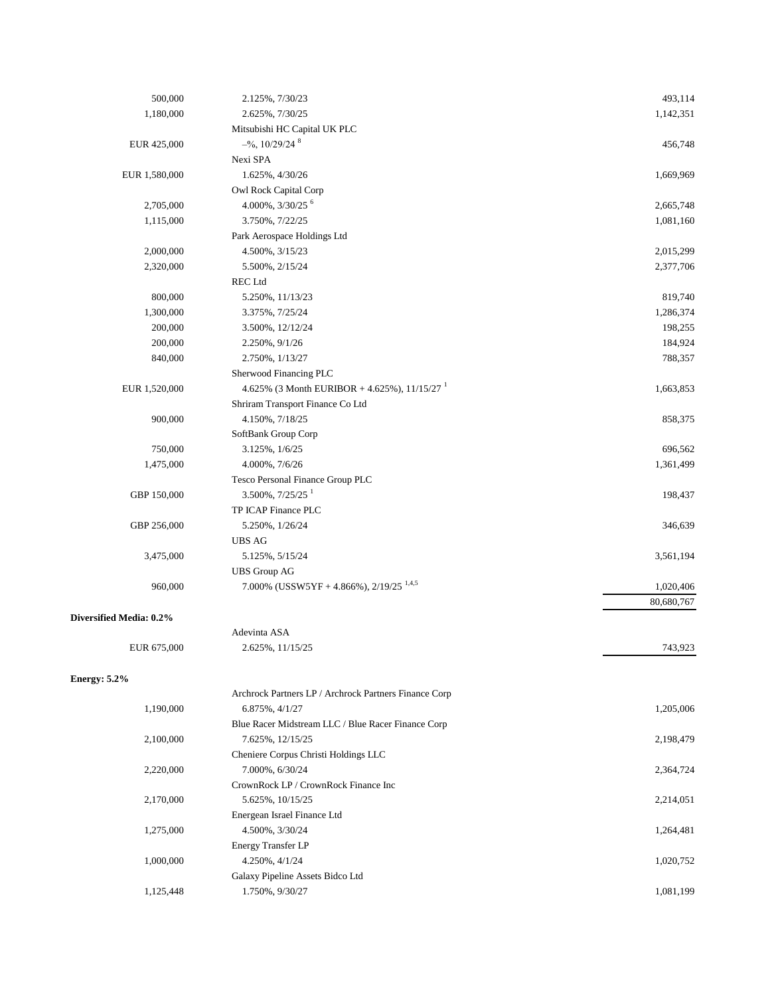| 500,000                 | 2.125%, 7/30/23                                            | 493,114    |
|-------------------------|------------------------------------------------------------|------------|
| 1,180,000               | 2.625%, 7/30/25                                            | 1,142,351  |
|                         | Mitsubishi HC Capital UK PLC                               |            |
| EUR 425,000             | $-$ %, 10/29/24 $8$                                        | 456,748    |
|                         | Nexi SPA                                                   |            |
| EUR 1,580,000           | 1.625%, 4/30/26                                            | 1,669,969  |
|                         | Owl Rock Capital Corp                                      |            |
| 2,705,000               | 4.000%, 3/30/25 <sup>6</sup>                               | 2,665,748  |
| 1,115,000               | 3.750%, 7/22/25                                            | 1,081,160  |
|                         | Park Aerospace Holdings Ltd                                |            |
|                         |                                                            |            |
| 2,000,000               | 4.500%, 3/15/23                                            | 2,015,299  |
| 2,320,000               | 5.500%, 2/15/24                                            | 2,377,706  |
|                         | <b>REC</b> Ltd                                             |            |
| 800,000                 | 5.250%, 11/13/23                                           | 819,740    |
| 1,300,000               | 3.375%, 7/25/24                                            | 1,286,374  |
| 200,000                 | 3.500%, 12/12/24                                           | 198,255    |
| 200,000                 | 2.250%, 9/1/26                                             | 184,924    |
| 840,000                 | 2.750%, 1/13/27                                            | 788,357    |
|                         | Sherwood Financing PLC                                     |            |
| EUR 1,520,000           | 4.625% (3 Month EURIBOR + 4.625%), $11/15/27$ <sup>1</sup> | 1,663,853  |
|                         | Shriram Transport Finance Co Ltd                           |            |
| 900,000                 | 4.150%, 7/18/25                                            | 858,375    |
|                         | SoftBank Group Corp                                        |            |
| 750,000                 | 3.125%, 1/6/25                                             | 696,562    |
| 1,475,000               | 4.000%, 7/6/26                                             | 1,361,499  |
|                         | Tesco Personal Finance Group PLC                           |            |
| GBP 150,000             | $3.500\%$ , $7/25/25$ <sup>1</sup>                         | 198,437    |
|                         | TP ICAP Finance PLC                                        |            |
| GBP 256,000             | 5.250%, 1/26/24                                            | 346,639    |
|                         | <b>UBS AG</b>                                              |            |
| 3,475,000               | 5.125%, 5/15/24                                            | 3,561,194  |
|                         | <b>UBS</b> Group AG                                        |            |
| 960,000                 | 7.000% (USSW5YF + 4.866%), $2/19/25$ <sup>1,4,5</sup>      | 1,020,406  |
|                         |                                                            | 80,680,767 |
|                         |                                                            |            |
| Diversified Media: 0.2% |                                                            |            |
|                         | Adevinta ASA                                               |            |
| EUR 675,000             | 2.625%, 11/15/25                                           | 743,923    |
|                         |                                                            |            |
| Energy: $5.2\%$         |                                                            |            |
|                         | Archrock Partners LP / Archrock Partners Finance Corp      |            |
| 1,190,000               | 6.875%, 4/1/27                                             | 1,205,006  |
|                         | Blue Racer Midstream LLC / Blue Racer Finance Corp         |            |
| 2,100,000               | 7.625%, 12/15/25                                           | 2,198,479  |
|                         | Cheniere Corpus Christi Holdings LLC                       |            |
| 2,220,000               | 7.000%, 6/30/24                                            | 2,364,724  |
|                         | CrownRock LP / CrownRock Finance Inc                       |            |
| 2,170,000               | 5.625%, 10/15/25                                           | 2,214,051  |
|                         | Energean Israel Finance Ltd                                |            |
| 1,275,000               | $4.500\%,\,3/30/24$                                        | 1,264,481  |
|                         | <b>Energy Transfer LP</b>                                  |            |
| 1,000,000               | 4.250%, 4/1/24                                             | 1,020,752  |
|                         | Galaxy Pipeline Assets Bidco Ltd                           |            |
| 1,125,448               | 1.750%, 9/30/27                                            | 1,081,199  |
|                         |                                                            |            |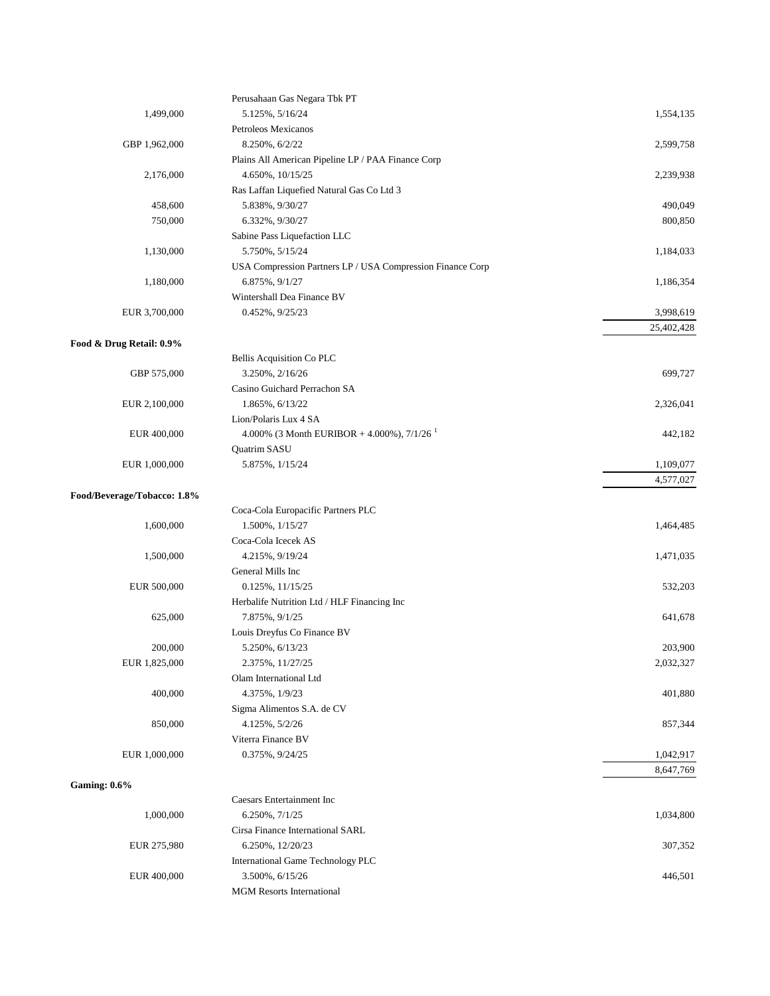|                             | Perusahaan Gas Negara Tbk PT                               |            |
|-----------------------------|------------------------------------------------------------|------------|
| 1,499,000                   | 5.125%, 5/16/24                                            | 1,554,135  |
|                             | Petroleos Mexicanos                                        |            |
| GBP 1,962,000               | 8.250%, 6/2/22                                             | 2,599,758  |
|                             | Plains All American Pipeline LP / PAA Finance Corp         |            |
| 2,176,000                   | 4.650%, 10/15/25                                           | 2,239,938  |
|                             | Ras Laffan Liquefied Natural Gas Co Ltd 3                  |            |
| 458,600                     | 5.838%, 9/30/27                                            | 490,049    |
| 750,000                     | 6.332%, 9/30/27                                            | 800,850    |
|                             | Sabine Pass Liquefaction LLC                               |            |
| 1,130,000                   | 5.750%, 5/15/24                                            | 1,184,033  |
|                             | USA Compression Partners LP / USA Compression Finance Corp |            |
| 1,180,000                   | 6.875%, 9/1/27                                             | 1,186,354  |
|                             | Wintershall Dea Finance BV                                 |            |
|                             |                                                            |            |
| EUR 3,700,000               | $0.452\%, 9/25/23$                                         | 3,998,619  |
|                             |                                                            | 25,402,428 |
| Food & Drug Retail: 0.9%    |                                                            |            |
|                             | Bellis Acquisition Co PLC                                  |            |
| GBP 575,000                 | 3.250%, 2/16/26                                            | 699,727    |
|                             | Casino Guichard Perrachon SA                               |            |
| EUR 2,100,000               | 1.865%, 6/13/22                                            | 2,326,041  |
|                             | Lion/Polaris Lux 4 SA                                      |            |
| EUR 400,000                 | 4.000% (3 Month EURIBOR + 4.000%), $7/1/26$ <sup>1</sup>   | 442,182    |
|                             | Quatrim SASU                                               |            |
| EUR 1,000,000               | 5.875%, 1/15/24                                            | 1,109,077  |
|                             |                                                            | 4,577,027  |
| Food/Beverage/Tobacco: 1.8% |                                                            |            |
|                             | Coca-Cola Europacific Partners PLC                         |            |
| 1,600,000                   | 1.500%, 1/15/27                                            | 1,464,485  |
|                             | Coca-Cola Icecek AS                                        |            |
| 1,500,000                   | 4.215%, 9/19/24                                            | 1,471,035  |
|                             | General Mills Inc                                          |            |
| EUR 500,000                 | $0.125\%, 11/15/25$                                        | 532,203    |
|                             | Herbalife Nutrition Ltd / HLF Financing Inc                |            |
| 625,000                     | 7.875%, 9/1/25                                             | 641,678    |
|                             | Louis Dreyfus Co Finance BV                                |            |
| 200,000                     | 5.250%, 6/13/23                                            | 203,900    |
| EUR 1,825,000               | 2.375%, 11/27/25                                           | 2,032,327  |
|                             | Olam International Ltd                                     |            |
| 400,000                     | 4.375%, 1/9/23                                             | 401,880    |
|                             |                                                            |            |
|                             | Sigma Alimentos S.A. de CV                                 |            |
| 850,000                     | 4.125%, 5/2/26                                             | 857,344    |
|                             | Viterra Finance BV                                         |            |
| EUR 1,000,000               | 0.375%, 9/24/25                                            | 1,042,917  |
|                             |                                                            | 8,647,769  |
| <b>Gaming: 0.6%</b>         |                                                            |            |
|                             | Caesars Entertainment Inc                                  |            |
| 1,000,000                   | 6.250%, 7/1/25                                             | 1,034,800  |
|                             | Cirsa Finance International SARL                           |            |
| EUR 275,980                 | 6.250%, 12/20/23                                           | 307,352    |
|                             | International Game Technology PLC                          |            |
| EUR 400,000                 | 3.500%, 6/15/26                                            | 446,501    |
|                             | <b>MGM</b> Resorts International                           |            |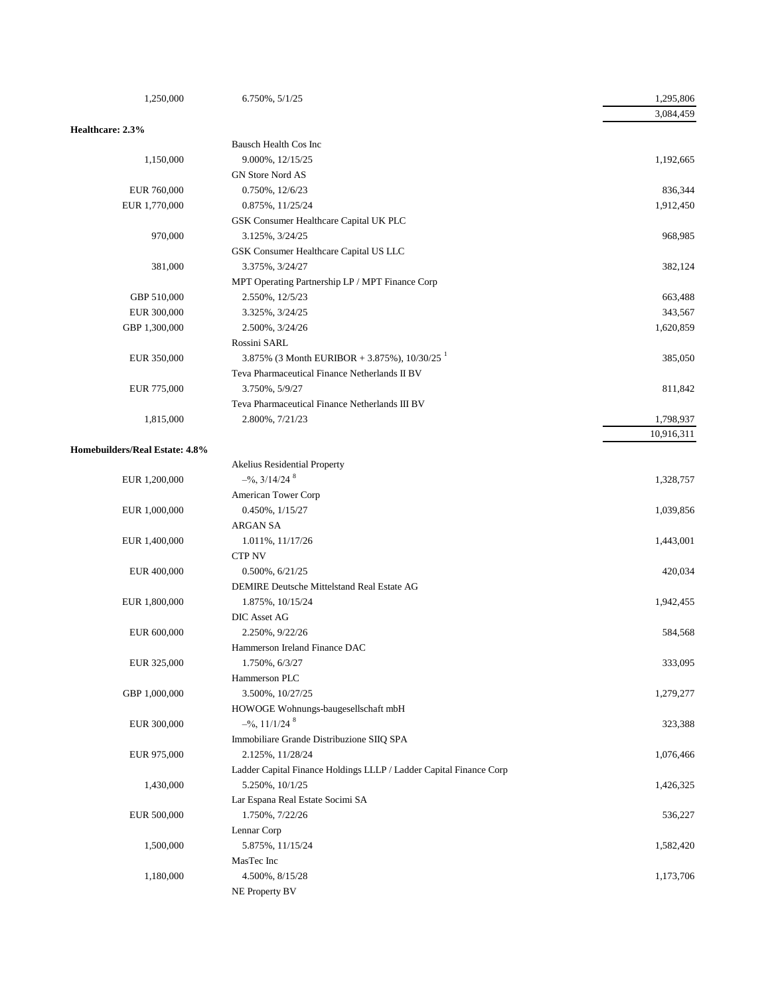| 1,250,000                      | 6.750%, 5/1/25                                                     | 1,295,806  |
|--------------------------------|--------------------------------------------------------------------|------------|
|                                |                                                                    | 3,084,459  |
| Healthcare: 2.3%               |                                                                    |            |
|                                | Bausch Health Cos Inc                                              |            |
| 1,150,000                      | 9.000%, 12/15/25                                                   | 1,192,665  |
|                                | GN Store Nord AS                                                   |            |
| EUR 760,000                    | 0.750%, 12/6/23                                                    | 836,344    |
| EUR 1,770,000                  | 0.875%, 11/25/24                                                   | 1,912,450  |
|                                | GSK Consumer Healthcare Capital UK PLC                             |            |
| 970,000                        | 3.125%, 3/24/25                                                    | 968,985    |
|                                | GSK Consumer Healthcare Capital US LLC                             |            |
| 381,000                        | 3.375%, 3/24/27                                                    | 382,124    |
|                                | MPT Operating Partnership LP / MPT Finance Corp                    |            |
| GBP 510,000                    | 2.550%, 12/5/23                                                    | 663,488    |
| EUR 300,000                    | 3.325%, 3/24/25                                                    | 343,567    |
| GBP 1,300,000                  | 2.500%, 3/24/26                                                    | 1,620,859  |
|                                | Rossini SARL                                                       |            |
| EUR 350,000                    | 3.875% (3 Month EURIBOR + 3.875%), $10/30/25$ <sup>1</sup>         | 385,050    |
|                                | Teva Pharmaceutical Finance Netherlands II BV                      |            |
| EUR 775,000                    | 3.750%, 5/9/27                                                     | 811,842    |
|                                | Teva Pharmaceutical Finance Netherlands III BV                     |            |
| 1,815,000                      | 2.800%, 7/21/23                                                    | 1,798,937  |
|                                |                                                                    | 10,916,311 |
| Homebuilders/Real Estate: 4.8% |                                                                    |            |
|                                | Akelius Residential Property                                       |            |
| EUR 1,200,000                  | $-$ %, 3/14/24 <sup>8</sup>                                        | 1,328,757  |
|                                | American Tower Corp                                                |            |
| EUR 1,000,000                  | 0.450%, 1/15/27                                                    | 1,039,856  |
|                                | <b>ARGAN SA</b>                                                    |            |
| EUR 1,400,000                  | 1.011%, 11/17/26                                                   | 1,443,001  |
|                                | <b>CTP NV</b>                                                      |            |
| EUR 400,000                    | $0.500\%$ , $6/21/25$                                              | 420,034    |
|                                | DEMIRE Deutsche Mittelstand Real Estate AG                         |            |
| EUR 1,800,000                  | 1.875%, 10/15/24                                                   | 1,942,455  |
|                                | DIC Asset AG                                                       |            |
| EUR 600,000                    | 2.250%, 9/22/26                                                    | 584,568    |
|                                | Hammerson Ireland Finance DAC                                      |            |
| EUR 325,000                    | 1.750%, 6/3/27                                                     | 333,095    |
|                                | Hammerson PLC                                                      |            |
| GBP 1,000,000                  | 3.500%, 10/27/25                                                   | 1,279,277  |
|                                | HOWOGE Wohnungs-baugesellschaft mbH                                |            |
| EUR 300,000                    | $-$ %, 11/1/24 $8$                                                 | 323,388    |
|                                | Immobiliare Grande Distribuzione SIIQ SPA                          |            |
| EUR 975,000                    | 2.125%, 11/28/24                                                   | 1,076,466  |
|                                | Ladder Capital Finance Holdings LLLP / Ladder Capital Finance Corp |            |
| 1,430,000                      | 5.250%, 10/1/25                                                    | 1,426,325  |
|                                | Lar Espana Real Estate Socimi SA                                   |            |
| EUR 500,000                    | 1.750%, 7/22/26                                                    | 536,227    |
|                                | Lennar Corp                                                        |            |
| 1,500,000                      | 5.875%, 11/15/24                                                   | 1,582,420  |
|                                | MasTec Inc                                                         |            |
| 1,180,000                      | 4.500%, 8/15/28                                                    | 1,173,706  |
|                                | NE Property BV                                                     |            |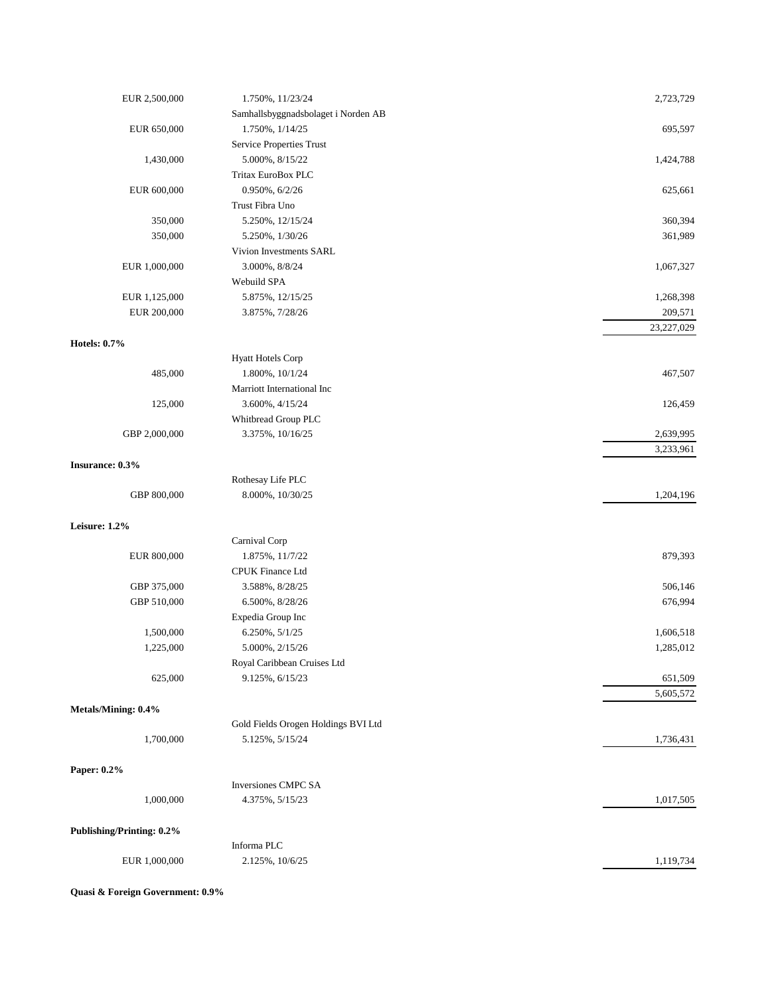| EUR 2,500,000                    | 1.750%, 11/23/24                    | 2,723,729  |
|----------------------------------|-------------------------------------|------------|
|                                  | Samhallsbyggnadsbolaget i Norden AB |            |
| EUR 650,000                      | 1.750%, 1/14/25                     | 695,597    |
|                                  | Service Properties Trust            |            |
| 1,430,000                        | 5.000%, 8/15/22                     | 1,424,788  |
|                                  | Tritax EuroBox PLC                  |            |
| EUR 600,000                      | 0.950%, 6/2/26                      | 625,661    |
|                                  | Trust Fibra Uno                     |            |
| 350,000                          | 5.250%, 12/15/24                    | 360,394    |
| 350,000                          | 5.250%, 1/30/26                     | 361,989    |
|                                  | Vivion Investments SARL             |            |
| EUR 1,000,000                    | 3.000%, 8/8/24                      | 1,067,327  |
|                                  | Webuild SPA                         |            |
| EUR 1,125,000                    | 5.875%, 12/15/25                    | 1,268,398  |
| EUR 200,000                      | 3.875%, 7/28/26                     | 209,571    |
|                                  |                                     | 23,227,029 |
| <b>Hotels: 0.7%</b>              |                                     |            |
|                                  | <b>Hyatt Hotels Corp</b>            |            |
| 485,000                          | 1.800%, 10/1/24                     | 467,507    |
|                                  | Marriott International Inc          |            |
| 125,000                          | 3.600%, 4/15/24                     | 126,459    |
|                                  | Whitbread Group PLC                 |            |
| GBP 2,000,000                    | 3.375%, 10/16/25                    | 2,639,995  |
|                                  |                                     | 3,233,961  |
| Insurance: 0.3%                  |                                     |            |
|                                  | Rothesay Life PLC                   |            |
| GBP 800,000                      | 8.000%, 10/30/25                    | 1,204,196  |
|                                  |                                     |            |
| Leisure: 1.2%                    |                                     |            |
|                                  | Carnival Corp                       |            |
| EUR 800,000                      | 1.875%, 11/7/22                     | 879,393    |
|                                  | CPUK Finance Ltd                    |            |
| GBP 375,000                      | 3.588%, 8/28/25                     | 506,146    |
| GBP 510,000                      | 6.500%, 8/28/26                     | 676,994    |
|                                  | Expedia Group Inc                   |            |
| 1,500,000                        | 6.250%, 5/1/25                      | 1,606,518  |
| 1,225,000                        | 5.000%, 2/15/26                     | 1,285,012  |
|                                  | Royal Caribbean Cruises Ltd         |            |
| 625,000                          | 9.125%, 6/15/23                     | 651,509    |
|                                  |                                     | 5,605,572  |
| Metals/Mining: 0.4%              |                                     |            |
|                                  | Gold Fields Orogen Holdings BVI Ltd |            |
| 1,700,000                        | 5.125%, 5/15/24                     | 1,736,431  |
|                                  |                                     |            |
| Paper: 0.2%                      |                                     |            |
|                                  | Inversiones CMPC SA                 |            |
| 1,000,000                        | 4.375%, 5/15/23                     | 1,017,505  |
| <b>Publishing/Printing: 0.2%</b> |                                     |            |
|                                  | Informa PLC                         |            |
| EUR 1,000,000                    | 2.125%, 10/6/25                     | 1,119,734  |
|                                  |                                     |            |

**Quasi & Foreign Government: 0.9%**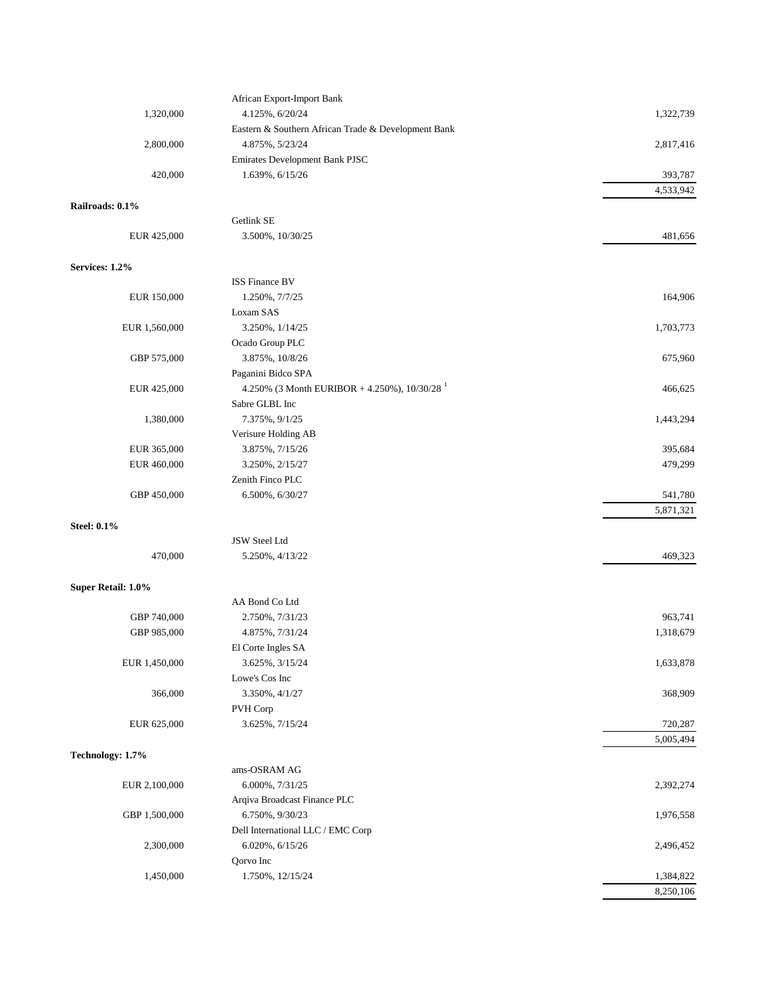|                    | African Export-Import Bank                          |           |
|--------------------|-----------------------------------------------------|-----------|
| 1,320,000          | 4.125%, 6/20/24                                     | 1,322,739 |
|                    | Eastern & Southern African Trade & Development Bank |           |
| 2,800,000          | 4.875%, 5/23/24                                     | 2,817,416 |
|                    | Emirates Development Bank PJSC                      |           |
| 420,000            | 1.639%, 6/15/26                                     | 393,787   |
|                    |                                                     | 4,533,942 |
| Railroads: 0.1%    | Getlink SE                                          |           |
| EUR 425,000        | 3.500%, 10/30/25                                    | 481,656   |
|                    |                                                     |           |
| Services: 1.2%     |                                                     |           |
|                    | <b>ISS Finance BV</b>                               |           |
| EUR 150,000        | 1.250%, 7/7/25                                      | 164,906   |
|                    | Loxam SAS                                           |           |
| EUR 1,560,000      | 3.250%, 1/14/25                                     | 1,703,773 |
|                    | Ocado Group PLC                                     |           |
| GBP 575,000        | 3.875%, 10/8/26                                     | 675,960   |
|                    | Paganini Bidco SPA                                  |           |
| EUR 425,000        | 4.250% (3 Month EURIBOR + 4.250%), $10/30/28$       | 466,625   |
|                    | Sabre GLBL Inc                                      |           |
| 1,380,000          | 7.375%, $9/1/25$                                    | 1,443,294 |
|                    | Verisure Holding AB                                 |           |
| EUR 365,000        | 3.875%, 7/15/26                                     | 395,684   |
| EUR 460,000        | 3.250%, 2/15/27                                     | 479,299   |
|                    | Zenith Finco PLC                                    |           |
| GBP 450,000        | 6.500%, 6/30/27                                     | 541,780   |
|                    |                                                     | 5,871,321 |
| <b>Steel: 0.1%</b> |                                                     |           |
|                    | JSW Steel Ltd                                       |           |
| 470,000            | 5.250%, 4/13/22                                     | 469,323   |
| Super Retail: 1.0% |                                                     |           |
|                    | AA Bond Co Ltd                                      |           |
| GBP 740,000        | 2.750%, 7/31/23                                     | 963,741   |
| GBP 985,000        | 4.875%, 7/31/24                                     | 1,318,679 |
|                    | El Corte Ingles SA                                  |           |
| EUR 1,450,000      | 3.625%, 3/15/24                                     | 1,633,878 |
|                    | Lowe's Cos Inc                                      |           |
| 366,000            | 3.350%, 4/1/27                                      | 368,909   |
|                    | PVH Corp                                            |           |
| EUR 625,000        | 3.625%, 7/15/24                                     | 720,287   |
|                    |                                                     | 5,005,494 |
| Technology: 1.7%   |                                                     |           |
|                    | ams-OSRAM AG                                        |           |
| EUR 2,100,000      | 6.000%, 7/31/25                                     | 2,392,274 |
|                    | Arqiva Broadcast Finance PLC                        |           |
| GBP 1,500,000      | 6.750%, 9/30/23                                     | 1,976,558 |
|                    | Dell International LLC / EMC Corp                   |           |
| 2,300,000          | $6.020\%$ , $6/15/26$                               | 2,496,452 |
|                    | Qorvo Inc                                           |           |
| 1,450,000          | 1.750%, 12/15/24                                    | 1,384,822 |
|                    |                                                     | 8,250,106 |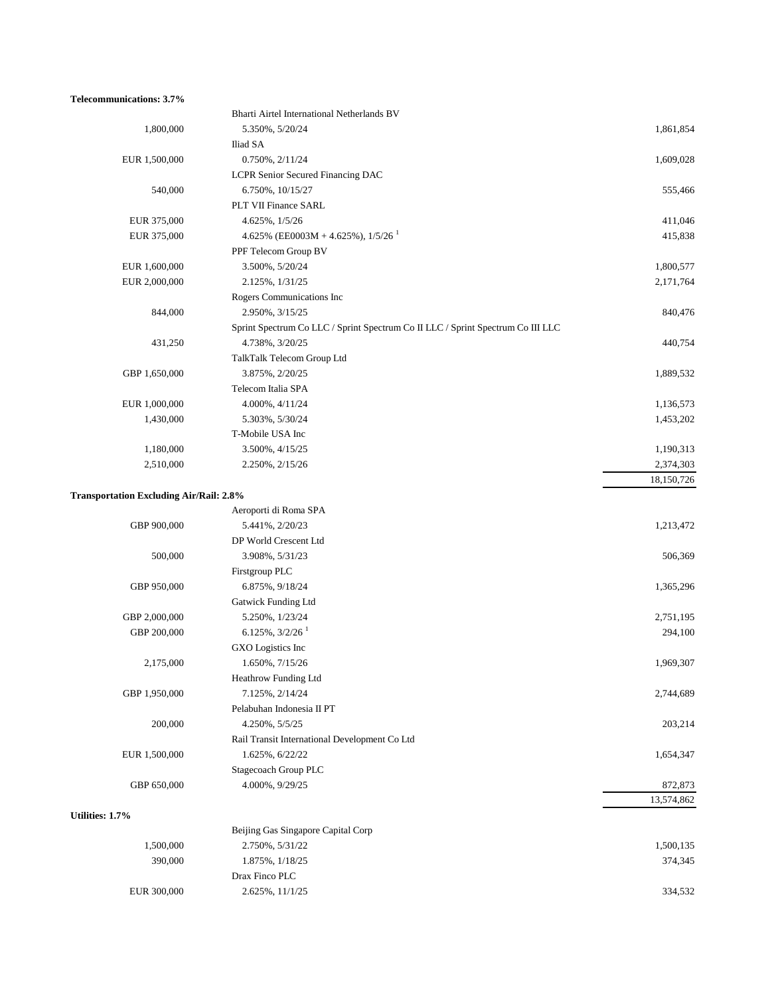#### **Telecommunications: 3.7%**

|                                                | Bharti Airtel International Netherlands BV                                      |            |
|------------------------------------------------|---------------------------------------------------------------------------------|------------|
| 1,800,000                                      | 5.350%, 5/20/24                                                                 | 1,861,854  |
|                                                | Iliad SA                                                                        |            |
| EUR 1,500,000                                  | $0.750\%, 2/11/24$                                                              | 1,609,028  |
|                                                | LCPR Senior Secured Financing DAC                                               |            |
| 540,000                                        | 6.750%, 10/15/27                                                                | 555,466    |
|                                                | PLT VII Finance SARL                                                            |            |
| EUR 375,000                                    | 4.625%, 1/5/26                                                                  | 411,046    |
| EUR 375,000                                    | 4.625% (EE0003M + 4.625%), $1/5/26$ <sup>1</sup>                                | 415,838    |
|                                                | PPF Telecom Group BV                                                            |            |
| EUR 1,600,000                                  | 3.500%, 5/20/24                                                                 | 1,800,577  |
| EUR 2,000,000                                  | 2.125%, $1/31/25$                                                               | 2,171,764  |
|                                                | Rogers Communications Inc                                                       |            |
| 844,000                                        | 2.950%, 3/15/25                                                                 | 840,476    |
|                                                | Sprint Spectrum Co LLC / Sprint Spectrum Co II LLC / Sprint Spectrum Co III LLC |            |
| 431,250                                        | 4.738%, 3/20/25                                                                 | 440,754    |
|                                                | TalkTalk Telecom Group Ltd                                                      |            |
| GBP 1,650,000                                  | 3.875%, 2/20/25                                                                 | 1,889,532  |
|                                                | Telecom Italia SPA                                                              |            |
| EUR 1,000,000                                  | 4.000%, 4/11/24                                                                 | 1,136,573  |
| 1,430,000                                      | 5.303%, 5/30/24                                                                 | 1,453,202  |
|                                                | T-Mobile USA Inc                                                                |            |
| 1,180,000                                      | 3.500%, 4/15/25                                                                 | 1,190,313  |
| 2,510,000                                      | 2.250%, 2/15/26                                                                 | 2,374,303  |
|                                                |                                                                                 | 18,150,726 |
| <b>Transportation Excluding Air/Rail: 2.8%</b> |                                                                                 |            |
|                                                | Aeroporti di Roma SPA                                                           |            |
| GBP 900,000                                    | 5.441%, 2/20/23                                                                 | 1,213,472  |
|                                                | DP World Crescent Ltd                                                           |            |
| 500,000                                        | 3.908%, 5/31/23                                                                 | 506,369    |
|                                                | Firstgroup PLC                                                                  |            |
| GBP 950,000                                    | 6.875%, 9/18/24                                                                 | 1,365,296  |
|                                                | <b>Gatwick Funding Ltd</b>                                                      |            |
| GBP 2,000,000                                  | 5.250%, 1/23/24                                                                 | 2,751,195  |
| GBP 200,000                                    | $6.125\%, 3/2/26$ <sup>1</sup>                                                  | 294,100    |
|                                                | GXO Logistics Inc                                                               |            |
| 2,175,000                                      | 1.650%, 7/15/26                                                                 | 1,969,307  |
|                                                | Heathrow Funding Ltd                                                            |            |
| GBP 1,950,000                                  | 7.125%, 2/14/24                                                                 | 2,744,689  |
|                                                | Pelabuhan Indonesia II PT                                                       |            |
| 200,000                                        | 4.250%, 5/5/25                                                                  | 203,214    |
|                                                | Rail Transit International Development Co Ltd                                   |            |
| EUR 1,500,000                                  | 1.625%, 6/22/22                                                                 | 1,654,347  |
|                                                | Stagecoach Group PLC                                                            |            |
| GBP 650,000                                    | 4.000%, 9/29/25                                                                 | 872,873    |
|                                                |                                                                                 | 13,574,862 |
| Utilities: 1.7%                                |                                                                                 |            |
|                                                | Beijing Gas Singapore Capital Corp                                              |            |
| 1,500,000                                      | 2.750%, 5/31/22                                                                 | 1,500,135  |
| 390,000                                        | 1.875%, 1/18/25                                                                 | 374,345    |
|                                                | Drax Finco PLC                                                                  |            |
| EUR 300,000                                    | 2.625%, 11/1/25                                                                 | 334,532    |
|                                                |                                                                                 |            |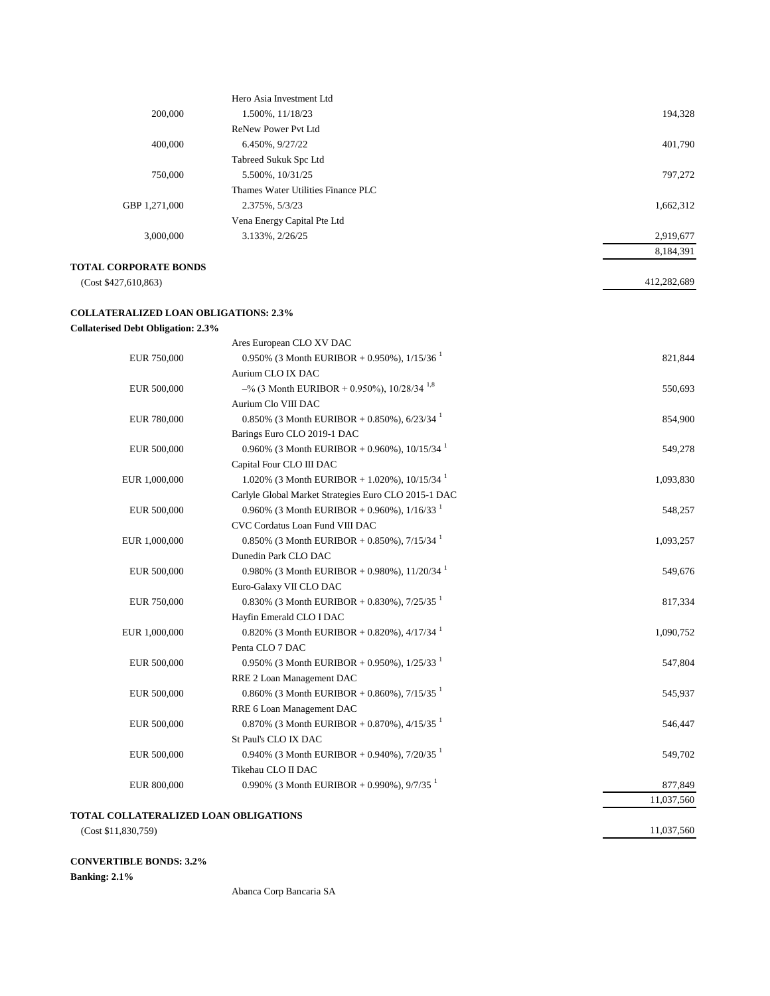|               | Hero Asia Investment Ltd           |           |
|---------------|------------------------------------|-----------|
| 200,000       | 1.500%, 11/18/23                   | 194,328   |
|               | ReNew Power Pyt Ltd                |           |
| 400,000       | 6.450%, 9/27/22                    | 401,790   |
|               | Tabreed Sukuk Spc Ltd              |           |
| 750,000       | 5.500%, 10/31/25                   | 797,272   |
|               | Thames Water Utilities Finance PLC |           |
| GBP 1,271,000 | 2.375%, 5/3/23                     | 1,662,312 |
|               | Vena Energy Capital Pte Ltd        |           |
| 3,000,000     | 3.133%, 2/26/25                    | 2,919,677 |
|               |                                    | 8,184,391 |

412,282,689

11,037,560

#### **TOTAL CORPORATE BONDS**

(Cost \$427,610,863)

#### **COLLATERALIZED LOAN OBLIGATIONS: 2.3%**

### **Collaterised Debt Obligation: 2.3%**

|               | Ares European CLO XV DAC                                   |            |
|---------------|------------------------------------------------------------|------------|
| EUR 750,000   | 0.950% (3 Month EURIBOR + 0.950%), $1/15/36$               | 821,844    |
|               | Aurium CLO IX DAC                                          |            |
| EUR 500,000   | $-$ % (3 Month EURIBOR + 0.950%), 10/28/34 <sup>1,8</sup>  | 550,693    |
|               | Aurium Clo VIII DAC                                        |            |
| EUR 780,000   | 0.850% (3 Month EURIBOR + 0.850%), $6/23/34$               | 854,900    |
|               | Barings Euro CLO 2019-1 DAC                                |            |
| EUR 500,000   | 0.960% (3 Month EURIBOR + 0.960%), $10/15/34$              | 549,278    |
|               | Capital Four CLO III DAC                                   |            |
| EUR 1,000,000 | 1.020% (3 Month EURIBOR + 1.020%), $10/15/34$              | 1,093,830  |
|               | Carlyle Global Market Strategies Euro CLO 2015-1 DAC       |            |
| EUR 500,000   | 0.960% (3 Month EURIBOR + 0.960%), $1/16/33$ <sup>1</sup>  | 548,257    |
|               | CVC Cordatus Loan Fund VIII DAC                            |            |
| EUR 1,000,000 | 0.850% (3 Month EURIBOR + 0.850%), $7/15/34$ <sup>1</sup>  | 1,093,257  |
|               | Dunedin Park CLO DAC                                       |            |
| EUR 500,000   | 0.980% (3 Month EURIBOR + 0.980%), $11/20/34$ <sup>1</sup> | 549,676    |
|               | Euro-Galaxy VII CLO DAC                                    |            |
| EUR 750,000   | 0.830% (3 Month EURIBOR + 0.830%), $7/25/35^{-1}$          | 817,334    |
|               | Hayfin Emerald CLO I DAC                                   |            |
| EUR 1,000,000 | 0.820% (3 Month EURIBOR + 0.820%), $4/17/34$               | 1,090,752  |
|               | Penta CLO 7 DAC                                            |            |
| EUR 500,000   | 0.950% (3 Month EURIBOR + 0.950%), $1/25/33^{-1}$          | 547,804    |
|               | RRE 2 Loan Management DAC                                  |            |
| EUR 500,000   | 0.860% (3 Month EURIBOR + 0.860%), $7/15/35^{-1}$          | 545,937    |
|               | RRE 6 Loan Management DAC                                  |            |
| EUR 500,000   | 0.870% (3 Month EURIBOR + 0.870%), 4/15/35 <sup>1</sup>    | 546,447    |
|               | St Paul's CLO IX DAC                                       |            |
| EUR 500,000   | 0.940% (3 Month EURIBOR + 0.940%), $7/20/35^{-1}$          | 549,702    |
|               | Tikehau CLO II DAC                                         |            |
| EUR 800,000   | 0.990% (3 Month EURIBOR + 0.990%), $9/7/35^{-1}$           | 877,849    |
|               |                                                            | 11,037,560 |
|               | OLL ATED ALIZED LO AN ODLIC ATIONS                         |            |

#### **TOTAL COLLATERALIZED LOAN OBLIGATIONS**

(Cost \$11,830,759)

### **CONVERTIBLE BONDS: 3.2%**

**Banking: 2.1%**

Abanca Corp Bancaria SA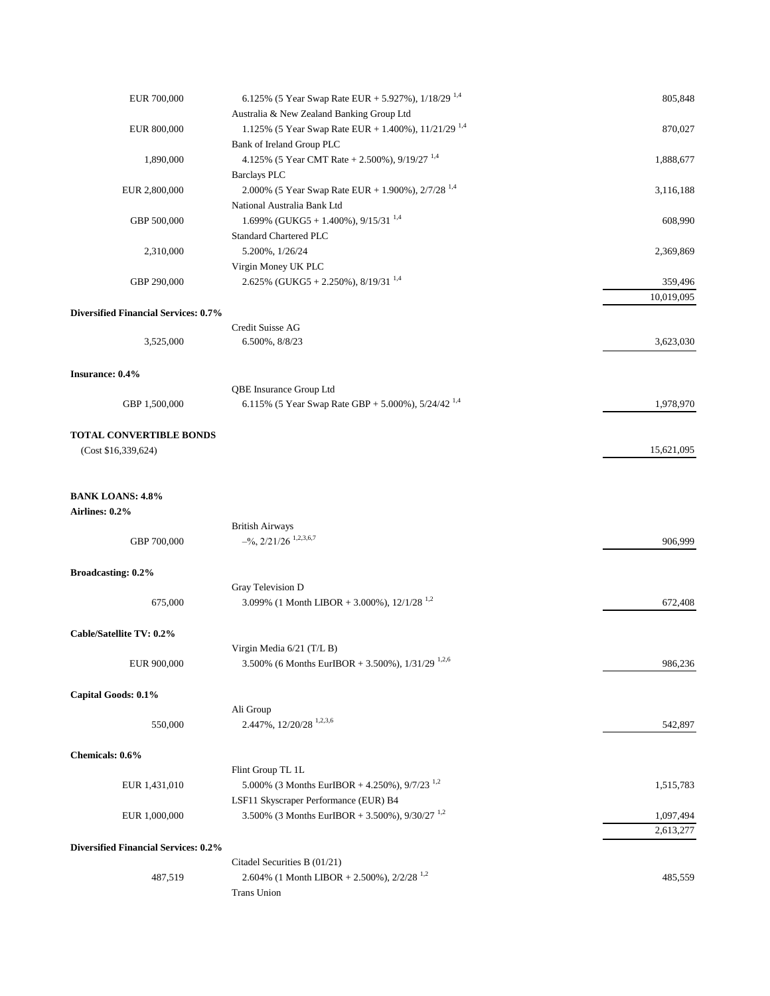| EUR 700,000                                 | 6.125% (5 Year Swap Rate EUR + 5.927%), $1/18/29$ <sup>1,4</sup>                            | 805,848    |
|---------------------------------------------|---------------------------------------------------------------------------------------------|------------|
|                                             | Australia & New Zealand Banking Group Ltd                                                   |            |
| EUR 800,000                                 | 1.125% (5 Year Swap Rate EUR + 1.400%), 11/21/29 <sup>1,4</sup>                             | 870,027    |
|                                             | Bank of Ireland Group PLC                                                                   |            |
| 1,890,000                                   | 4.125% (5 Year CMT Rate + 2.500%), $9/19/27$ <sup>1,4</sup>                                 | 1,888,677  |
|                                             | <b>Barclays PLC</b>                                                                         |            |
| EUR 2,800,000                               | 2.000% (5 Year Swap Rate EUR + 1.900%), $2/7/28$ <sup>1,4</sup>                             | 3,116,188  |
|                                             | National Australia Bank Ltd                                                                 |            |
| GBP 500,000                                 | 1.699% (GUKG5 + 1.400%), $9/15/31^{1.4}$                                                    | 608,990    |
|                                             | Standard Chartered PLC                                                                      |            |
| 2,310,000                                   | 5.200%, 1/26/24                                                                             | 2,369,869  |
|                                             | Virgin Money UK PLC                                                                         |            |
| GBP 290,000                                 | 2.625% (GUKG5 + 2.250%), $8/19/31^{1,4}$                                                    | 359,496    |
|                                             |                                                                                             | 10,019,095 |
| <b>Diversified Financial Services: 0.7%</b> |                                                                                             |            |
|                                             | Credit Suisse AG                                                                            |            |
| 3,525,000                                   | 6.500%, 8/8/23                                                                              | 3,623,030  |
|                                             |                                                                                             |            |
| Insurance: 0.4%                             |                                                                                             |            |
|                                             | QBE Insurance Group Ltd                                                                     |            |
| GBP 1,500,000                               | 6.115% (5 Year Swap Rate GBP + 5.000%), $5/24/42^{1,4}$                                     | 1,978,970  |
|                                             |                                                                                             |            |
| <b>TOTAL CONVERTIBLE BONDS</b>              |                                                                                             |            |
| (Cost \$16,339,624)                         |                                                                                             | 15,621,095 |
|                                             |                                                                                             |            |
|                                             |                                                                                             |            |
| <b>BANK LOANS: 4.8%</b>                     |                                                                                             |            |
| Airlines: 0.2%                              |                                                                                             |            |
|                                             | <b>British Airways</b>                                                                      |            |
| GBP 700,000                                 | $-$ %, 2/21/26 <sup>1,2,3,6,7</sup>                                                         | 906,999    |
|                                             |                                                                                             |            |
| Broadcasting: 0.2%                          |                                                                                             |            |
|                                             | Gray Television D                                                                           |            |
| 675,000                                     | 3.099% (1 Month LIBOR + 3.000%), $12/1/28$ <sup>1,2</sup>                                   | 672,408    |
|                                             |                                                                                             |            |
| Cable/Satellite TV: 0.2%                    |                                                                                             |            |
|                                             |                                                                                             |            |
| EUR 900,000                                 | Virgin Media 6/21 (T/L B)<br>3.500% (6 Months EurIBOR + 3.500%), $1/31/29$ <sup>1,2,6</sup> | 986,236    |
|                                             |                                                                                             |            |
|                                             |                                                                                             |            |
| Capital Goods: 0.1%                         | Ali Group                                                                                   |            |
|                                             | 2.447%, 12/20/28 <sup>1,2,3,6</sup>                                                         |            |
| 550,000                                     |                                                                                             | 542,897    |
|                                             |                                                                                             |            |
| Chemicals: 0.6%                             |                                                                                             |            |
|                                             | Flint Group TL 1L                                                                           |            |
| EUR 1,431,010                               | 5.000% (3 Months EurIBOR + 4.250%), 9/7/23 <sup>1,2</sup>                                   | 1,515,783  |
|                                             | LSF11 Skyscraper Performance (EUR) B4                                                       |            |
| EUR 1,000,000                               | 3.500% (3 Months EurIBOR + 3.500%), $9/30/27$ <sup>1,2</sup>                                | 1,097,494  |
|                                             |                                                                                             | 2,613,277  |
| <b>Diversified Financial Services: 0.2%</b> |                                                                                             |            |
|                                             | Citadel Securities B (01/21)                                                                |            |
| 487,519                                     | 2.604% (1 Month LIBOR + 2.500%), $2/2/28$ <sup>1,2</sup>                                    | 485,559    |
|                                             | <b>Trans Union</b>                                                                          |            |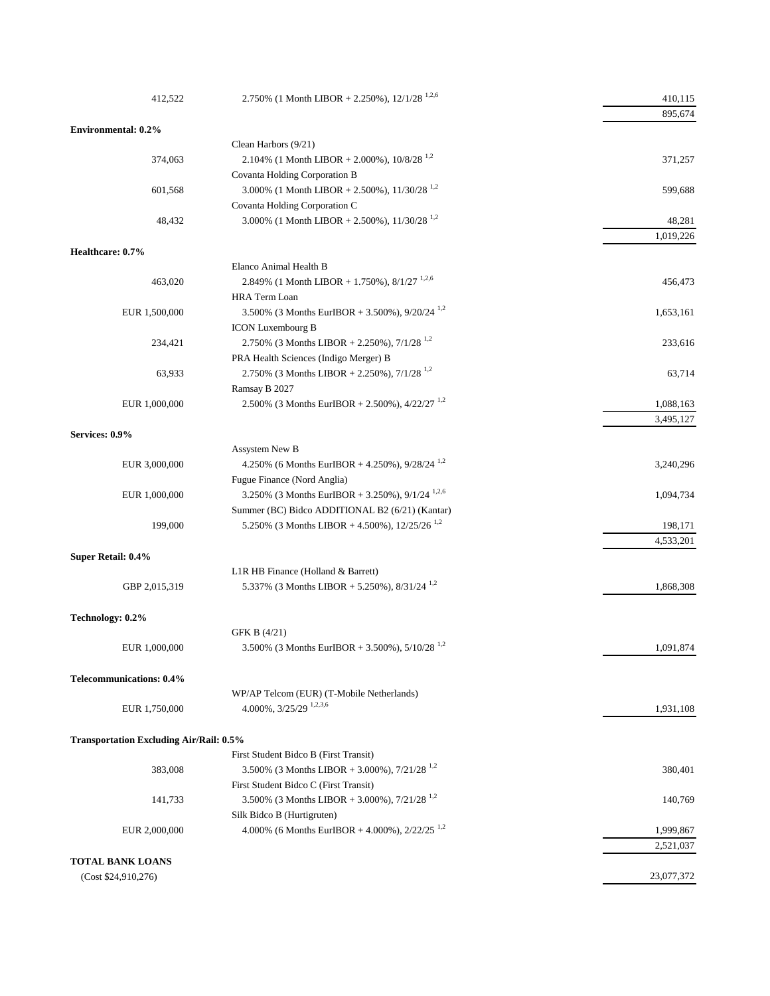| 412,522                                        | 2.750% (1 Month LIBOR + 2.250%), $12/1/28$ <sup>1,2,6</sup>                                         | 410,115                |
|------------------------------------------------|-----------------------------------------------------------------------------------------------------|------------------------|
|                                                |                                                                                                     | 895,674                |
| <b>Environmental: 0.2%</b>                     |                                                                                                     |                        |
|                                                | Clean Harbors (9/21)                                                                                |                        |
| 374,063                                        | 2.104% (1 Month LIBOR + 2.000%), $10/8/28$ <sup>1,2</sup>                                           | 371,257                |
|                                                | Covanta Holding Corporation B                                                                       |                        |
| 601,568                                        | 3.000% (1 Month LIBOR + 2.500%), $11/30/28$ <sup>1,2</sup>                                          | 599,688                |
|                                                | Covanta Holding Corporation C                                                                       |                        |
| 48,432                                         | 3.000% (1 Month LIBOR + 2.500%), $11/30/28$ <sup>1,2</sup>                                          | 48,281                 |
|                                                |                                                                                                     | 1,019,226              |
| Healthcare: 0.7%                               |                                                                                                     |                        |
|                                                | Elanco Animal Health B                                                                              |                        |
| 463,020                                        | 2.849% (1 Month LIBOR + 1.750%), $8/1/27$ <sup>1,2,6</sup>                                          | 456,473                |
|                                                | <b>HRA</b> Term Loan                                                                                |                        |
| EUR 1,500,000                                  | 3.500% (3 Months EurIBOR + 3.500%), $9/20/24$ <sup>1,2</sup>                                        | 1,653,161              |
|                                                | <b>ICON Luxembourg B</b>                                                                            |                        |
| 234,421                                        | 2.750% (3 Months LIBOR + 2.250%), $7/1/28$ <sup>1,2</sup>                                           | 233,616                |
|                                                | PRA Health Sciences (Indigo Merger) B                                                               |                        |
| 63,933                                         | 2.750% (3 Months LIBOR + 2.250%), $7/1/28$ <sup>1,2</sup>                                           | 63,714                 |
|                                                | Ramsay B 2027                                                                                       |                        |
| EUR 1,000,000                                  | 2.500% (3 Months EurIBOR + 2.500%), $4/22/27$ <sup>1,2</sup>                                        | 1,088,163              |
|                                                |                                                                                                     | 3,495,127              |
| Services: 0.9%                                 |                                                                                                     |                        |
|                                                | Assystem New B                                                                                      |                        |
| EUR 3,000,000                                  | 4.250% (6 Months EurIBOR + 4.250%), $9/28/24^{1,2}$                                                 | 3,240,296              |
|                                                | Fugue Finance (Nord Anglia)                                                                         |                        |
| EUR 1,000,000                                  | 3.250% (3 Months EurIBOR + 3.250%), $9/1/24$ <sup>1,2,6</sup>                                       | 1,094,734              |
|                                                | Summer (BC) Bidco ADDITIONAL B2 (6/21) (Kantar)                                                     |                        |
| 199,000                                        | 5.250% (3 Months LIBOR + 4.500%), $12/25/26^{1,2}$                                                  | 198,171                |
|                                                |                                                                                                     | 4,533,201              |
| Super Retail: 0.4%                             |                                                                                                     |                        |
|                                                | L1R HB Finance (Holland & Barrett)                                                                  |                        |
| GBP 2,015,319                                  | 5.337% (3 Months LIBOR + 5.250%), 8/31/24 <sup>1,2</sup>                                            | 1,868,308              |
| Technology: 0.2%                               |                                                                                                     |                        |
|                                                | GFK B (4/21)                                                                                        |                        |
| EUR 1,000,000                                  | 3.500% (3 Months EurIBOR + 3.500%), $5/10/28$ <sup>1,2</sup>                                        | 1,091,874              |
|                                                |                                                                                                     |                        |
| <b>Telecommunications: 0.4%</b>                |                                                                                                     |                        |
|                                                | WP/AP Telcom (EUR) (T-Mobile Netherlands)                                                           |                        |
| EUR 1,750,000                                  | $4.000\%$ , $3/25/29$ <sup>1,2,3,6</sup>                                                            | 1,931,108              |
|                                                |                                                                                                     |                        |
| <b>Transportation Excluding Air/Rail: 0.5%</b> | First Student Bidco B (First Transit)                                                               |                        |
|                                                | 3.500% (3 Months LIBOR + 3.000%), $7/21/28^{1.2}$                                                   |                        |
| 383,008                                        |                                                                                                     | 380,401                |
|                                                | First Student Bidco C (First Transit)<br>3.500% (3 Months LIBOR + 3.000%), $7/21/28$ <sup>1,2</sup> |                        |
| 141,733                                        |                                                                                                     | 140,769                |
|                                                | Silk Bidco B (Hurtigruten)<br>4.000% (6 Months EurIBOR + 4.000%), $2/22/25$ <sup>1,2</sup>          |                        |
| EUR 2,000,000                                  |                                                                                                     | 1,999,867<br>2,521,037 |
| <b>TOTAL BANK LOANS</b>                        |                                                                                                     |                        |
| (Cost \$24,910,276)                            |                                                                                                     | 23,077,372             |
|                                                |                                                                                                     |                        |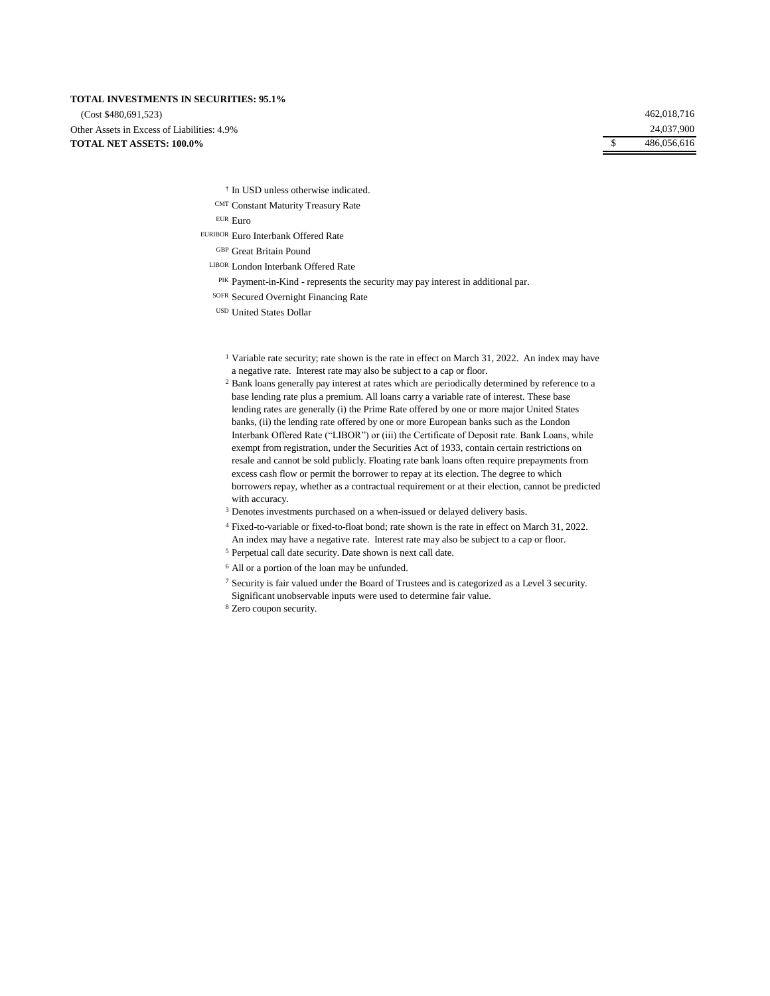#### **TOTAL INVESTMENTS IN SECURITIES: 95.1%**

**TOTAL NET ASSETS: 100.0%** (Cost \$480,691,523) Other Assets in Excess of Liabilities: 4.9% 462,018,716 24,037,900 \$ 486,056,616

- † In USD unless otherwise indicated.
- CMT Constant Maturity Treasury Rate

EUR Euro

- EURIBOR Euro Interbank Offered Rate
	- GBP Great Britain Pound
	- LIBOR London Interbank Offered Rate
		- PIK Payment-in-Kind represents the security may pay interest in additional par.
	- SOFR Secured Overnight Financing Rate
	- USD United States Dollar
		- <sup>1</sup> Variable rate security; rate shown is the rate in effect on March 31, 2022. An index may have a negative rate. Interest rate may also be subject to a cap or floor.

<sup>2</sup> Bank loans generally pay interest at rates which are periodically determined by reference to a base lending rate plus a premium. All loans carry a variable rate of interest. These base lending rates are generally (i) the Prime Rate offered by one or more major United States banks, (ii) the lending rate offered by one or more European banks such as the London Interbank Offered Rate ("LIBOR") or (iii) the Certificate of Deposit rate. Bank Loans, while exempt from registration, under the Securities Act of 1933, contain certain restrictions on resale and cannot be sold publicly. Floating rate bank loans often require prepayments from excess cash flow or permit the borrower to repay at its election. The degree to which borrowers repay, whether as a contractual requirement or at their election, cannot be predicted with accuracy.

- <sup>3</sup> Denotes investments purchased on a when-issued or delayed delivery basis.
- <sup>4</sup> Fixed-to-variable or fixed-to-float bond; rate shown is the rate in effect on March 31, 2022.
- An index may have a negative rate. Interest rate may also be subject to a cap or floor.
- <sup>5</sup> Perpetual call date security. Date shown is next call date.
- <sup>6</sup> All or a portion of the loan may be unfunded.
- <sup>7</sup> Security is fair valued under the Board of Trustees and is categorized as a Level 3 security. Significant unobservable inputs were used to determine fair value.
- <sup>8</sup> Zero coupon security.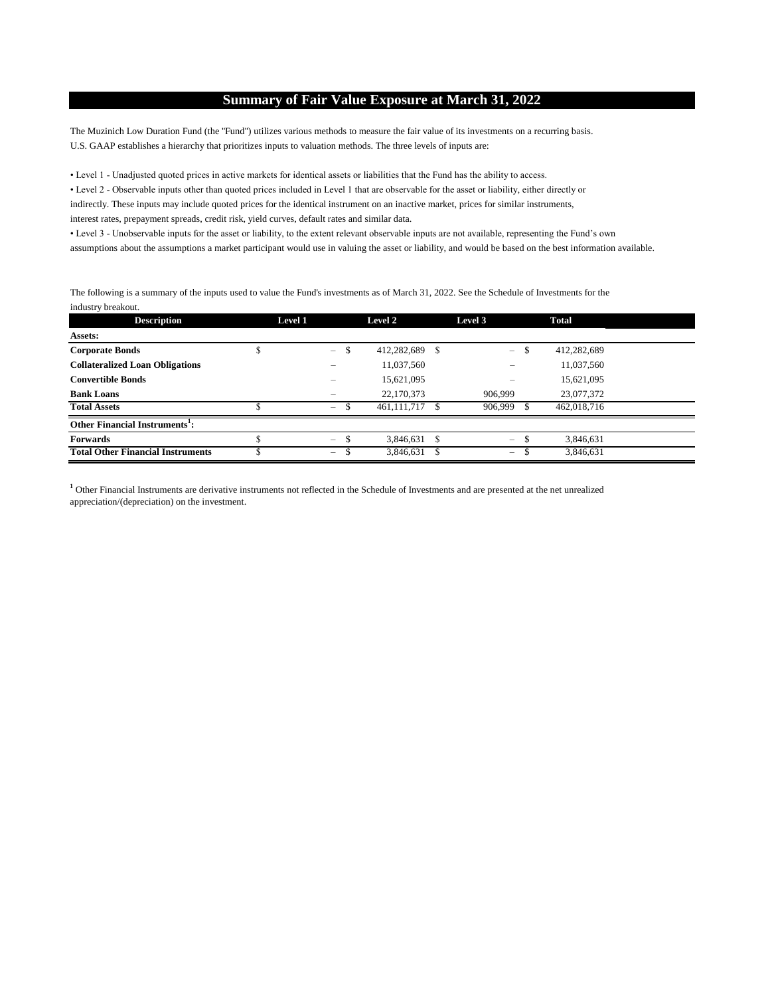## **Summary of Fair Value Exposure at March 31, 2022**

The Muzinich Low Duration Fund (the "Fund") utilizes various methods to measure the fair value of its investments on a recurring basis. U.S. GAAP establishes a hierarchy that prioritizes inputs to valuation methods. The three levels of inputs are:

• Level 1 - Unadjusted quoted prices in active markets for identical assets or liabilities that the Fund has the ability to access.

• Level 2 - Observable inputs other than quoted prices included in Level 1 that are observable for the asset or liability, either directly or indirectly. These inputs may include quoted prices for the identical instrument on an inactive market, prices for similar instruments, interest rates, prepayment spreads, credit risk, yield curves, default rates and similar data.

• Level 3 - Unobservable inputs for the asset or liability, to the extent relevant observable inputs are not available, representing the Fund's own assumptions about the assumptions a market participant would use in valuing the asset or liability, and would be based on the best information available.

The following is a summary of the inputs used to value the Fund's investments as of March 31, 2022. See the Schedule of Investments for the industry breakout.

| <b>Description</b>                         | Level 1 |                          | Level 2        | Level 3                  | <b>Total</b> |  |
|--------------------------------------------|---------|--------------------------|----------------|--------------------------|--------------|--|
| <b>Assets:</b>                             |         |                          |                |                          |              |  |
| <b>Corporate Bonds</b>                     |         | $\overline{\phantom{0}}$ | 412,282,689 \$ | S<br>$=$                 | 412,282,689  |  |
| <b>Collateralized Loan Obligations</b>     |         |                          | 11,037,560     |                          | 11,037,560   |  |
| <b>Convertible Bonds</b>                   |         | –                        | 15,621,095     | $\overline{\phantom{0}}$ | 15,621,095   |  |
| <b>Bank Loans</b>                          |         | –                        | 22,170,373     | 906,999                  | 23,077,372   |  |
| <b>Total Assets</b>                        |         | $\overline{\phantom{0}}$ | 461.111.717 \$ | 906,999                  | 462,018,716  |  |
| Other Financial Instruments <sup>1</sup> : |         |                          |                |                          |              |  |
| <b>Forwards</b>                            |         | $\overline{\phantom{m}}$ | 3.846.631 \$   | \$<br>$=$                | 3,846,631    |  |
| <b>Total Other Financial Instruments</b>   |         | $\qquad \qquad -$        | 3,846,631      | $\overline{\phantom{0}}$ | 3,846,631    |  |

**1** Other Financial Instruments are derivative instruments not reflected in the Schedule of Investments and are presented at the net unrealized appreciation/(depreciation) on the investment.